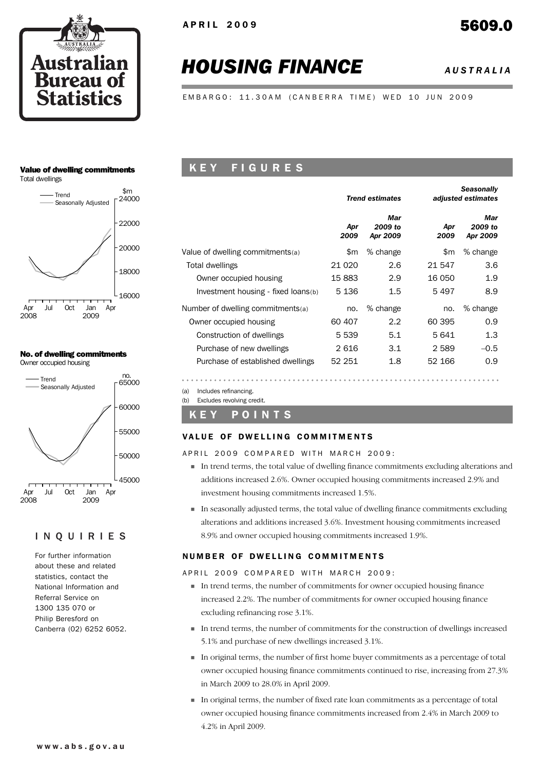

# *HOUSING FINANCE AUSTRALIA*

*Seasonally*

EMBARGO: 11.30AM (CANBERRA TIME) WED 10 JUN 2009

#### Value of dwelling commitments

Total dwellings



# No. of dwelling commitments



#### INQUIRIES

For further information about these and related statistics, contact the National Information and Referral Service on 1300 135 070 or Philip Beresford on Canberra (02) 6252 6052.

# K E Y F I G U R E S

|                                     |             | <b>Trend estimates</b>     |             | seasonally<br>adjusted estimates |  |  |
|-------------------------------------|-------------|----------------------------|-------------|----------------------------------|--|--|
|                                     | Apr<br>2009 | Mar<br>2009 to<br>Apr 2009 | Apr<br>2009 | Mar<br>2009 to<br>Apr 2009       |  |  |
| Value of dwelling commitments(a)    | \$m         | % change                   | \$m         | % change                         |  |  |
| Total dwellings                     | 21 0 20     | 2.6                        | 21 547      | 3.6                              |  |  |
| Owner occupied housing              | 15883       | 2.9                        | 16 050      | 1.9                              |  |  |
| Investment housing - fixed loans(b) | 5 1 3 6     | 1.5                        | 5497        | 8.9                              |  |  |
| Number of dwelling commitments(a)   | no.         | % change                   | no.         | % change                         |  |  |
| Owner occupied housing              | 60 407      | 2.2                        | 60 395      | 0.9                              |  |  |
| Construction of dwellings           | 5 5 3 9     | 5.1                        | 5 641       | 1.3                              |  |  |
| Purchase of new dwellings           | 2616        | 3.1                        | 2 5 8 9     | $-0.5$                           |  |  |
| Purchase of established dwellings   | 52 251      | 1.8                        | 52 166      | 0.9                              |  |  |
|                                     |             |                            |             |                                  |  |  |

(a) Includes refinancing.

(b) Excludes revolving credit.

#### K E Y P O I N T S

#### VALUE OF DWELLING COMMITMENTS

APRIL 2009 COMPARED WITH MARCH 2009:

- ! In trend terms, the total value of dwelling finance commitments excluding alterations and additions increased 2.6%. Owner occupied housing commitments increased 2.9% and investment housing commitments increased 1.5%.
- ! In seasonally adjusted terms, the total value of dwelling finance commitments excluding alterations and additions increased 3.6%. Investment housing commitments increased 8.9% and owner occupied housing commitments increased 1.9%.

#### NUMBER OF DWELLING COMMITMENTS

APRIL 2009 COMPARED WITH MARCH 2009:

- ! In trend terms, the number of commitments for owner occupied housing finance increased 2.2%. The number of commitments for owner occupied housing finance excluding refinancing rose 3.1%.
- ! In trend terms, the number of commitments for the construction of dwellings increased 5.1% and purchase of new dwellings increased 3.1%.
- ! In original terms, the number of first home buyer commitments as a percentage of total owner occupied housing finance commitments continued to rise, increasing from 27.3% in March 2009 to 28.0% in April 2009.
- ! In original terms, the number of fixed rate loan commitments as a percentage of total owner occupied housing finance commitments increased from 2.4% in March 2009 to 4.2% in April 2009.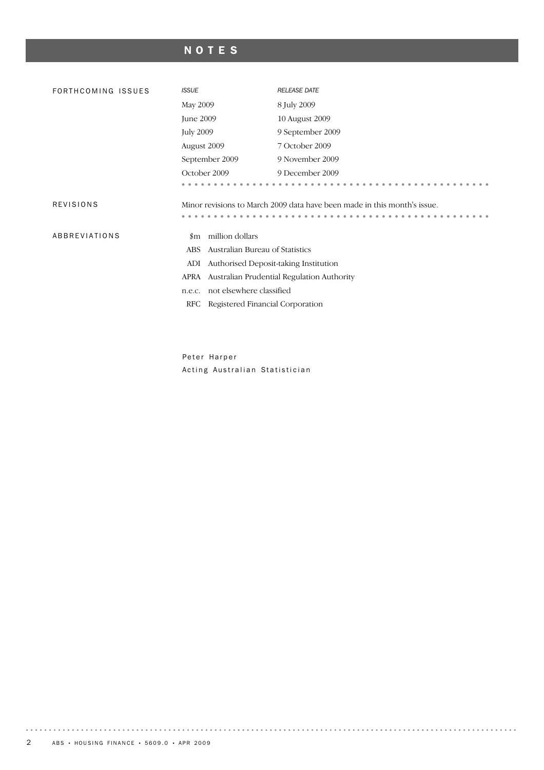# NOTES

| FORTHCOMING ISSUES | <b>ISSUE</b>                                  | <b>RELEASE DATE</b>                                                      |  |  |  |  |
|--------------------|-----------------------------------------------|--------------------------------------------------------------------------|--|--|--|--|
|                    | May 2009                                      | 8 July 2009                                                              |  |  |  |  |
|                    | June 2009                                     | 10 August 2009                                                           |  |  |  |  |
|                    | <b>July 2009</b>                              | 9 September 2009                                                         |  |  |  |  |
|                    | August 2009                                   | 7 October 2009                                                           |  |  |  |  |
|                    | September 2009                                | 9 November 2009                                                          |  |  |  |  |
|                    | October 2009                                  | 9 December 2009                                                          |  |  |  |  |
|                    |                                               |                                                                          |  |  |  |  |
| <b>REVISIONS</b>   |                                               | Minor revisions to March 2009 data have been made in this month's issue. |  |  |  |  |
| ABBREVIATIONS      | million dollars<br>$_{\rm sm}$                |                                                                          |  |  |  |  |
|                    | Australian Bureau of Statistics<br><b>ABS</b> |                                                                          |  |  |  |  |
|                    | Authorised Deposit-taking Institution<br>ADI  |                                                                          |  |  |  |  |
|                    | APRA                                          | Australian Prudential Regulation Authority                               |  |  |  |  |
|                    | not elsewhere classified<br>n.e.c.            |                                                                          |  |  |  |  |
|                    | RFC<br>Registered Financial Corporation       |                                                                          |  |  |  |  |
|                    |                                               |                                                                          |  |  |  |  |

Peter Harper Acting Australian Statistician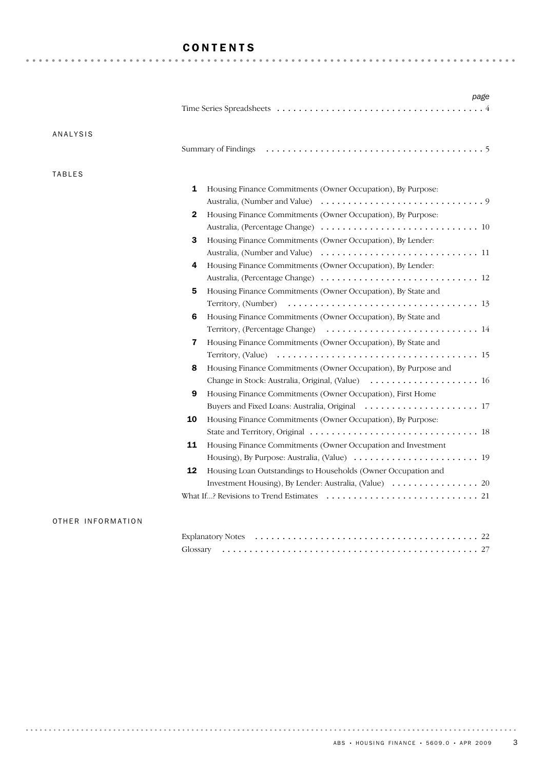# CONTENTS

| ANALYSIS      |                                                                     |
|---------------|---------------------------------------------------------------------|
|               |                                                                     |
| <b>TABLES</b> |                                                                     |
|               | 1<br>Housing Finance Commitments (Owner Occupation), By Purpose:    |
|               |                                                                     |
|               | Housing Finance Commitments (Owner Occupation), By Purpose:<br>2    |
|               |                                                                     |
|               | 3<br>Housing Finance Commitments (Owner Occupation), By Lender:     |
|               |                                                                     |
|               | Housing Finance Commitments (Owner Occupation), By Lender:<br>4     |
|               |                                                                     |
|               | 5<br>Housing Finance Commitments (Owner Occupation), By State and   |
|               |                                                                     |
|               | 6<br>Housing Finance Commitments (Owner Occupation), By State and   |
|               |                                                                     |
|               | 7<br>Housing Finance Commitments (Owner Occupation), By State and   |
|               |                                                                     |
|               | Housing Finance Commitments (Owner Occupation), By Purpose and<br>8 |
|               | Change in Stock: Australia, Original, (Value)  16                   |
|               | 9<br>Housing Finance Commitments (Owner Occupation), First Home     |
|               |                                                                     |
|               | 10<br>Housing Finance Commitments (Owner Occupation), By Purpose:   |
|               |                                                                     |
|               | 11<br>Housing Finance Commitments (Owner Occupation and Investment  |
|               |                                                                     |
|               | 12<br>Housing Loan Outstandings to Households (Owner Occupation and |
|               |                                                                     |
|               |                                                                     |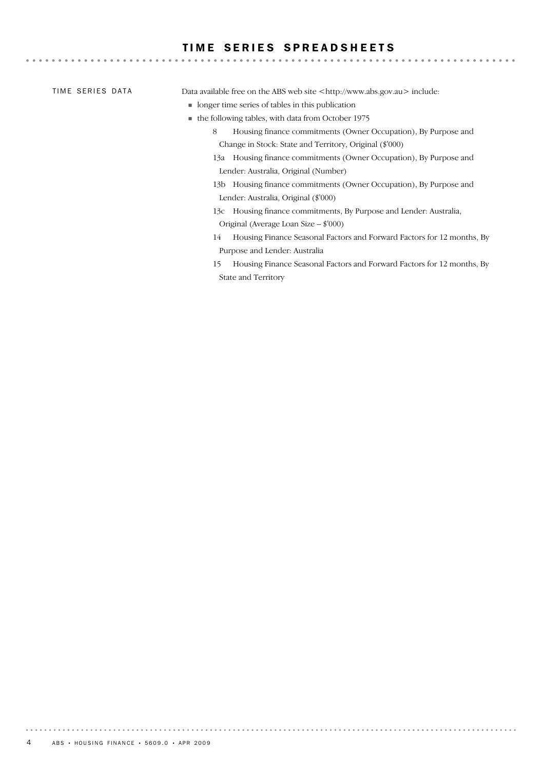### TIME SERIES SPREADSHEETS

|  | TIME SERIES DATA |  |  |
|--|------------------|--|--|
|--|------------------|--|--|

Data available free on the ABS web site <http://www.abs.gov.au> include:

- ! longer time series of tables in this publication
- ! the following tables, with data from October 1975
	- 8 Housing finance commitments (Owner Occupation), By Purpose and Change in Stock: State and Territory, Original (\$'000)

- 13a Housing finance commitments (Owner Occupation), By Purpose and Lender: Australia, Original (Number)
- 13b Housing finance commitments (Owner Occupation), By Purpose and Lender: Australia, Original (\$'000)
- 13c Housing finance commitments, By Purpose and Lender: Australia, Original (Average Loan Size – \$'000)
- 14 Housing Finance Seasonal Factors and Forward Factors for 12 months, By Purpose and Lender: Australia
- 15 Housing Finance Seasonal Factors and Forward Factors for 12 months, By State and Territory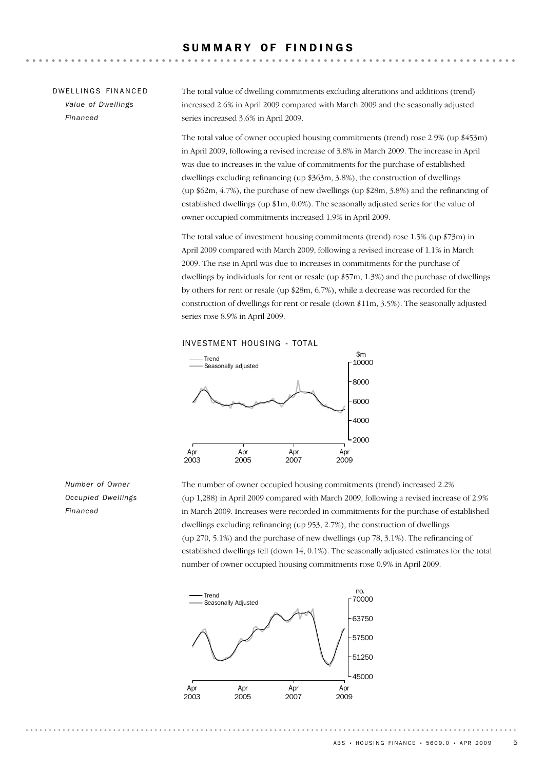#### SUMMARY OF FINDINGS

### DW FILINGS FINANCED *Value of Dwellings Financed*

The total value of dwelling commitments excluding alterations and additions (trend) increased 2.6% in April 2009 compared with March 2009 and the seasonally adjusted series increased 3.6% in April 2009.

The total value of owner occupied housing commitments (trend) rose 2.9% (up \$453m) in April 2009, following a revised increase of 3.8% in March 2009. The increase in April was due to increases in the value of commitments for the purchase of established dwellings excluding refinancing (up \$363m, 3.8%), the construction of dwellings (up \$62m, 4.7%), the purchase of new dwellings (up \$28m, 3.8%) and the refinancing of established dwellings (up \$1m, 0.0%). The seasonally adjusted series for the value of owner occupied commitments increased 1.9% in April 2009.

The total value of investment housing commitments (trend) rose 1.5% (up \$73m) in April 2009 compared with March 2009, following a revised increase of 1.1% in March 2009. The rise in April was due to increases in commitments for the purchase of dwellings by individuals for rent or resale (up \$57m, 1.3%) and the purchase of dwellings by others for rent or resale (up \$28m, 6.7%), while a decrease was recorded for the construction of dwellings for rent or resale (down \$11m, 3.5%). The seasonally adjusted series rose 8.9% in April 2009.

#### INVESTMENT HOUSING - TOTAL



*Number of Owner Occupied Dwellings Financed*

The number of owner occupied housing commitments (trend) increased 2.2% (up 1,288) in April 2009 compared with March 2009, following a revised increase of 2.9% in March 2009. Increases were recorded in commitments for the purchase of established dwellings excluding refinancing (up 953, 2.7%), the construction of dwellings (up 270, 5.1%) and the purchase of new dwellings (up 78, 3.1%). The refinancing of established dwellings fell (down 14, 0.1%). The seasonally adjusted estimates for the total number of owner occupied housing commitments rose 0.9% in April 2009.

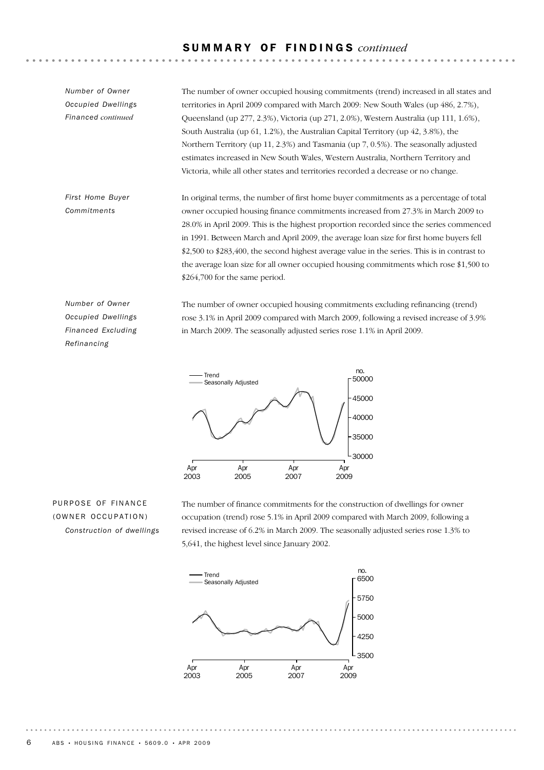## S U M M A R Y O F F I N D I N G S *continued*

*Number of Owner Occupied Dwellings Financed continued*

The number of owner occupied housing commitments (trend) increased in all states and territories in April 2009 compared with March 2009: New South Wales (up 486, 2.7%), Queensland (up 277, 2.3%), Victoria (up 271, 2.0%), Western Australia (up 111, 1.6%), South Australia (up 61, 1.2%), the Australian Capital Territory (up 42, 3.8%), the Northern Territory (up 11, 2.3%) and Tasmania (up 7, 0.5%). The seasonally adjusted estimates increased in New South Wales, Western Australia, Northern Territory and Victoria, while all other states and territories recorded a decrease or no change.

In original terms, the number of first home buyer commitments as a percentage of total owner occupied housing finance commitments increased from 27.3% in March 2009 to 28.0% in April 2009. This is the highest proportion recorded since the series commenced in 1991. Between March and April 2009, the average loan size for first home buyers fell \$2,500 to \$283,400, the second highest average value in the series. This is in contrast to the average loan size for all owner occupied housing commitments which rose \$1,500 to \$264,700 for the same period. *First Home Buyer Commitments*

*Number of Owner Occupied Dwellings Financed Excluding Refinancing*

The number of owner occupied housing commitments excluding refinancing (trend) rose 3.1% in April 2009 compared with March 2009, following a revised increase of 3.9% in March 2009. The seasonally adjusted series rose 1.1% in April 2009.



# PURPOSE OF FINANCE (OWNER OCCUPATION) *Construction of dwellings*

The number of finance commitments for the construction of dwellings for owner occupation (trend) rose 5.1% in April 2009 compared with March 2009, following a revised increase of 6.2% in March 2009. The seasonally adjusted series rose 1.3% to 5,641, the highest level since January 2002.

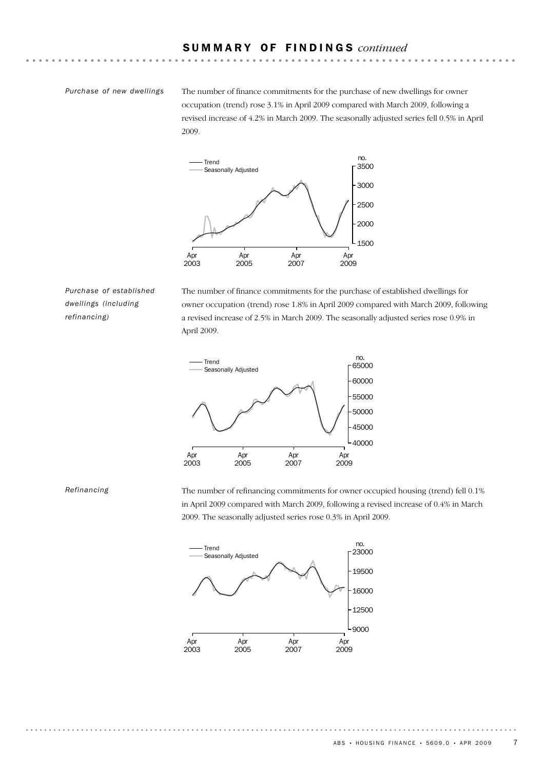#### *Purchase of new dwellings*

The number of finance commitments for the purchase of new dwellings for owner occupation (trend) rose 3.1% in April 2009 compared with March 2009, following a revised increase of 4.2% in March 2009. The seasonally adjusted series fell 0.5% in April 2009.



*Purchase of established dwellings (including refinancing)*

The number of finance commitments for the purchase of established dwellings for owner occupation (trend) rose 1.8% in April 2009 compared with March 2009, following a revised increase of 2.5% in March 2009. The seasonally adjusted series rose 0.9% in April 2009.



*Refinancing*

The number of refinancing commitments for owner occupied housing (trend) fell 0.1% in April 2009 compared with March 2009, following a revised increase of 0.4% in March 2009. The seasonally adjusted series rose 0.3% in April 2009.

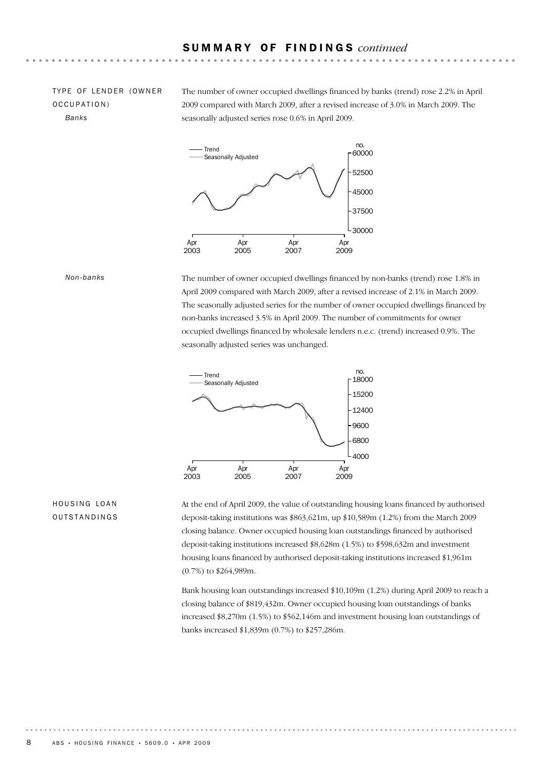### TYPE OF LENDER (OWNER OCCUPATION) *Banks*

The number of owner occupied dwellings financed by banks (trend) rose 2.2% in April 2009 compared with March 2009, after a revised increase of 3.0% in March 2009. The seasonally adjusted series rose 0.6% in April 2009.



*Non-banks*

The number of owner occupied dwellings financed by non-banks (trend) rose 1.8% in April 2009 compared with March 2009, after a revised increase of 2.1% in March 2009. The seasonally adjusted series for the number of owner occupied dwellings financed by non-banks increased 3.5% in April 2009. The number of commitments for owner occupied dwellings financed by wholesale lenders n.e.c. (trend) increased 0.9%. The seasonally adjusted series was unchanged.



#### HOUSING LOAN **OUTSTANDINGS**

At the end of April 2009, the value of outstanding housing loans financed by authorised deposit-taking institutions was \$863,621m, up \$10,589m (1.2%) from the March 2009 closing balance. Owner occupied housing loan outstandings financed by authorised deposit-taking institutions increased \$8,628m (1.5%) to \$598,632m and investment housing loans financed by authorised deposit-taking institutions increased \$1,961m (0.7%) to \$264,989m.

Bank housing loan outstandings increased \$10,109m (1.2%) during April 2009 to reach a closing balance of \$819,432m. Owner occupied housing loan outstandings of banks increased \$8,270m (1.5%) to \$562,146m and investment housing loan outstandings of banks increased \$1,839m (0.7%) to \$257,286m.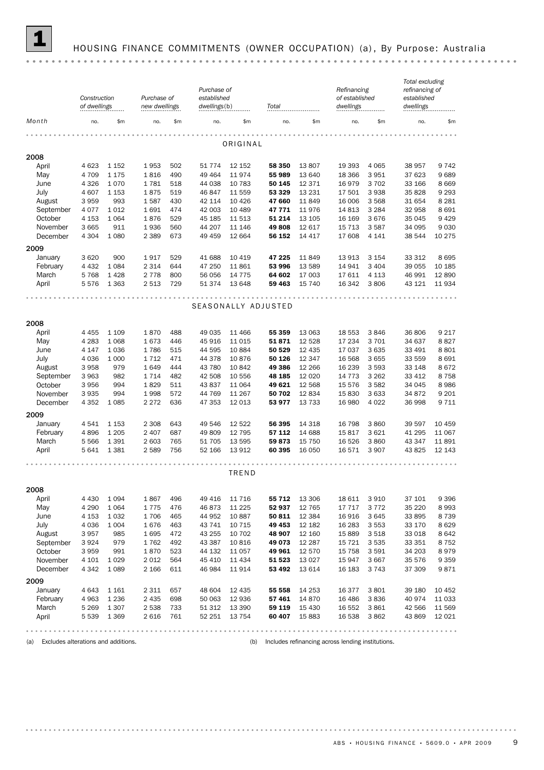

# 1 HOUSING FINANCE COMMITMENTS (OWNER OCCUPATION) (a) , By Purpose: Australia

|                                            | Construction<br>of dwellings |                    | Purchase of<br>new dwellings |            | Purchase of<br>established<br>dwellings(b) |                  | Total               |                  | Refinancing<br>of established<br>dwellings        |                    | Total excluding<br>refinancing of<br>established<br>dwellings |                    |
|--------------------------------------------|------------------------------|--------------------|------------------------------|------------|--------------------------------------------|------------------|---------------------|------------------|---------------------------------------------------|--------------------|---------------------------------------------------------------|--------------------|
| Month                                      | no.                          | \$m\$              | no.                          | \$m        | no.                                        | \$m              | no.                 | \$m              | no.                                               | \$m\$              | no.                                                           | \$m                |
|                                            |                              |                    |                              |            |                                            | ORIGINAL         |                     |                  |                                                   |                    |                                                               |                    |
| 2008                                       |                              |                    |                              |            |                                            |                  |                     |                  |                                                   |                    |                                                               |                    |
| April                                      | 4 6 23                       | 1 1 5 2            | 1953                         | 502        | 51 7 7 4                                   | 12 152           | 58 350              | 13807            | 19 393                                            | 4 0 6 5            | 38 957                                                        | 9742               |
| May                                        | 4 709                        | 1 1 7 5            | 1816                         | 490        | 49 4 64                                    | 11974            | 55 989              | 13 640           | 18 366                                            | 3951               | 37 623                                                        | 9689               |
| June                                       | 4 3 2 6                      | 1070               | 1781                         | 518        | 44 038                                     | 10 783           | 50 145              | 12 371           | 16 979                                            | 3 7 0 2            | 33 166                                                        | 8 6 6 9            |
| July                                       | 4 607                        | 1 1 5 3            | 1875                         | 519        | 46 847                                     | 11 559           | 53 329              | 13 2 31          | 17 501                                            | 3 9 3 8            | 35828                                                         | 9 2 9 3            |
| August                                     | 3959                         | 993                | 1587                         | 430        | 42 114                                     | 10 4 26          | 47 660              | 11849            | 16 006                                            | 3568               | 31 654                                                        | 8 2 8 1            |
| September                                  | 4 0 7 7                      | 1012               | 1691                         | 474        | 42 003                                     | 10 489           | 47 771              | 11976            | 14 813                                            | 3 2 8 4            | 32 958                                                        | 8691               |
| October                                    | 4 1 5 3                      | 1 0 6 4            | 1876                         | 529        | 45 185                                     | 11 513           | 51 214              | 13 105           | 16 169                                            | 3676               | 35 045                                                        | 9 4 2 9            |
| November                                   | 3 6 6 5                      | 911                | 1936                         | 560        | 44 207                                     | 11 146           | 49808               | 12 617           | 15 7 13                                           | 3587               | 34 095                                                        | 9030               |
| December                                   | 4 3 0 4                      | 1 0 8 0            | 2 3 8 9                      | 673        | 49 459                                     | 12 664           | 56 152              | 14 417           | 17 608                                            | 4 1 4 1            | 38 544                                                        | 10 275             |
| 2009                                       |                              |                    |                              |            |                                            |                  |                     |                  |                                                   |                    |                                                               |                    |
| January                                    | 3 6 20                       | 900                | 1917                         | 529        | 41 688                                     | 10 419           | 47 225              | 11849            | 13 913                                            | 3 1 5 4            | 33 312                                                        | 8695               |
| February                                   | 4 4 3 2                      | 1 0 8 4            | 2 3 1 4                      | 644        | 47 250                                     | 11 861           | 53 996              | 13 589           | 14 941                                            | 3 4 0 4            | 39 055                                                        | 10 185             |
| March                                      | 5768                         | 1428               | 2 7 7 8                      | 800        | 56 056                                     | 14 775           | 64 602              | 17 003           | 17 611                                            | 4 1 1 3            | 46 991                                                        | 12890              |
| April                                      | 5576                         | 1 3 6 3            | 2 5 1 3                      | 729        | 51 374                                     | 13 648           | 59 463              | 15 740           | 16 342                                            | 3806               | 43 121                                                        | 11934              |
|                                            |                              |                    |                              |            |                                            |                  | SEASONALLY ADJUSTED |                  |                                                   |                    |                                                               |                    |
| 2008                                       |                              |                    |                              |            |                                            |                  |                     |                  |                                                   |                    |                                                               |                    |
| April                                      | 4 4 5 5                      | 1 1 0 9            | 1870                         | 488        | 49 035                                     | 11 466           | 55 359              | 13 063           | 18 553                                            | 3846               | 36 806                                                        | 9 2 1 7            |
| May                                        | 4 2 8 3                      | 1 0 6 8            | 1673                         | 446        | 45 916                                     | 11 015           | 51871               | 12 5 28          | 17 234                                            | 3701               | 34 637                                                        | 8827               |
| June                                       | 4 1 4 7                      | 1036               | 1786                         | 515        | 44 595                                     | 10 884           | 50 529              | 12 4 35          | 17 037                                            | 3 6 3 5            | 33 491                                                        | 8801               |
| July                                       | 4 0 3 6                      | 1 0 0 0            | 1712                         | 471        | 44 378                                     | 10876            | 50 126              | 12 347           | 16 568                                            | 3 6 5 5            | 33 559                                                        | 8691               |
| August                                     | 3 9 5 8                      | 979                | 1649                         | 444        | 43 780                                     | 10 842           | 49 386              | 12 266           | 16 239                                            | 3 5 9 3            | 33 148                                                        | 8672               |
| September                                  | 3 9 6 3                      | 982                | 1 7 1 4                      | 482        | 42 508                                     | 10 556           | 48 185              | 12 0 20          | 14 7 7 3                                          | 3 2 6 2            | 33 412                                                        | 8758               |
| October                                    | 3 9 5 6                      | 994                | 1829                         | 511        | 43 837                                     | 11 064           | 49 621              | 12 5 68          | 15 576                                            | 3582               | 34 045                                                        | 8986               |
| November<br>December                       | 3935<br>4 3 5 2              | 994<br>1 0 8 5     | 1998<br>2 2 7 2              | 572<br>636 | 44 769<br>47 353                           | 11 267<br>12 013 | 50 702<br>53 977    | 12834<br>13 7 33 | 15 830<br>16 980                                  | 3 6 3 3<br>4 0 2 2 | 34 872<br>36 998                                              | 9 2 0 1<br>9 7 1 1 |
|                                            |                              |                    |                              |            |                                            |                  |                     |                  |                                                   |                    |                                                               |                    |
| 2009                                       |                              |                    |                              |            |                                            |                  |                     |                  |                                                   |                    |                                                               |                    |
| January                                    | 4 5 4 1                      | 1 1 5 3            | 2 3 0 8                      | 643        | 49 546                                     | 12 522           | 56 395              | 14 3 18          | 16 798                                            | 3860               | 39 597                                                        | 10 459             |
| February<br>March                          | 4896<br>5 5 6 6              | 1 2 0 5<br>1 3 9 1 | 2 4 0 7<br>2 603             | 687<br>765 | 49 809<br>51 705                           | 12 795<br>13 595 | 57 112<br>59873     | 14 688<br>15 750 | 15817<br>16 5 26                                  | 3 6 2 1<br>3860    | 41 295<br>43 347                                              | 11 067<br>11891    |
| April                                      | 5 641                        | 1381               | 2 5 8 9                      | 756        | 52 166                                     | 13 912           | 60 395              | 16 050           | 16 571                                            | 3 9 0 7            | 43 825                                                        | 12 143             |
|                                            |                              |                    |                              |            |                                            |                  |                     |                  |                                                   |                    |                                                               |                    |
|                                            |                              |                    |                              |            |                                            | TREND            |                     |                  |                                                   |                    |                                                               |                    |
| 2008                                       |                              |                    |                              |            |                                            |                  |                     |                  |                                                   |                    |                                                               |                    |
| April                                      | 4 4 3 0                      | 1 0 9 4            | 1867                         | 496        | 49 416                                     | 11 716           | 55 712              | 13 306           | 18 611                                            | 3 9 1 0            | 37 101                                                        | 9 3 9 6            |
| May                                        | 4 2 9 0                      | 1 0 6 4            | 1775                         | 476        | 46873                                      | 11 2 25          | 52 937              | 12 765           | 17 717                                            | 3772               | 35 2 20                                                       | 8993               |
| June                                       | 4 1 5 3                      | 1 0 3 2            | 1706                         | 465        | 44 952                                     | 10 887           | 50 811              | 12 3 84          | 16 916                                            | 3645               | 33 895                                                        | 8739               |
| July                                       | 4 0 3 6                      | 1 0 0 4            | 1676                         | 463        | 43 741<br>43 255                           | 10 715           | 49 453              | 12 182           | 16 283                                            | 3 5 5 3            | 33 170                                                        | 8629               |
| August<br>September                        | 3957<br>3924                 | 985<br>979         | 1695<br>1762                 | 472<br>492 | 43 387                                     | 10 702<br>10 816 | 48 907<br>49 073    | 12 160<br>12 287 | 15 889<br>15 7 21                                 | 3518<br>3 5 3 5    | 33 018<br>33 351                                              | 8642<br>8752       |
| October                                    | 3959                         | 991                | 1870                         | 523        | 44 132                                     | 11 057           | 49 961              | 12 570           | 15 7 58                                           | 3 5 9 1            | 34 203                                                        | 8979               |
| November                                   | 4 1 0 1                      | 1 0 2 9            | 2 0 1 2                      | 564        | 45 410                                     | 11 434           | 51 523              | 13 0 27          | 15 947                                            | 3667               | 35 576                                                        | 9 3 5 9            |
| December                                   | 4 3 4 2                      | 1 0 8 9            | 2 1 6 6                      | 611        | 46 984                                     | 11 914           | 53 492              | 13 614           | 16 183                                            | 3743               | 37 309                                                        | 9871               |
| 2009                                       |                              |                    |                              |            |                                            |                  |                     |                  |                                                   |                    |                                                               |                    |
| January                                    | 4 6 4 3                      | 1 1 6 1            | 2 3 1 1                      | 657        | 48 604                                     | 12 4 35          | 55 558              | 14 253           | 16 377                                            | 3 8 0 1            | 39 180                                                        | 10 452             |
| February                                   | 4 9 63                       | 1 2 3 6            | 2 4 3 5                      | 698        | 50 063                                     | 12 936           | 57 461              | 14 870           | 16 48 6                                           | 3836               | 40 974                                                        | 11 033             |
| March                                      | 5 2 6 9                      | 1 3 0 7            | 2 5 3 8                      | 733        | 51 312                                     | 13 390           | 59 119              | 15 4 30          | 16 552                                            | 3861               | 42 566                                                        | 11 569             |
| April                                      | 5 5 3 9                      | 1 3 6 9            | 2 6 1 6                      | 761        | 52 251                                     | 13 7 54          | 60 407              | 15 883           | 16 538                                            | 3862               | 43 869                                                        | 12 0 21            |
|                                            |                              |                    |                              |            |                                            |                  |                     |                  |                                                   |                    |                                                               |                    |
| Excludes alterations and additions.<br>(a) |                              |                    |                              |            |                                            | (b)              |                     |                  | Includes refinancing across lending institutions. |                    |                                                               |                    |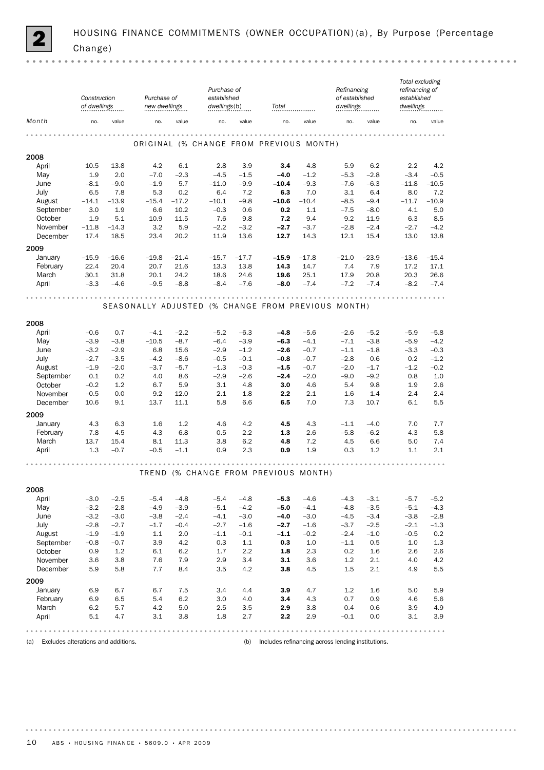|                      | Construction<br>of dwellings |                | Purchase of<br>new dwellings                       |                 | Purchase of<br>established<br>dwellings(b) |               | Total                                   |                | Refinancing<br>of established<br>dwellings |                  | Total excluding<br>refinancing of<br>established<br>dwellings |                |
|----------------------|------------------------------|----------------|----------------------------------------------------|-----------------|--------------------------------------------|---------------|-----------------------------------------|----------------|--------------------------------------------|------------------|---------------------------------------------------------------|----------------|
| Month                | no.                          | value          | no.                                                | value           | no.                                        | value         | no.                                     | value          | no.                                        | value            | no.                                                           | value          |
|                      |                              |                |                                                    |                 |                                            |               | ORIGINAL (% CHANGE FROM PREVIOUS MONTH) |                | .                                          |                  |                                                               |                |
| 2008                 |                              |                |                                                    |                 |                                            |               |                                         |                |                                            |                  |                                                               |                |
| April                | 10.5                         | 13.8           | 4.2                                                | 6.1             | 2.8                                        | 3.9           | 3.4                                     | 4.8            | 5.9                                        | 6.2              | 2.2                                                           | 4.2            |
| May                  | 1.9                          | 2.0            | $-7.0$                                             | $-2.3$          | $-4.5$                                     | $-1.5$        | $-4.0$                                  | $-1.2$         | $-5.3$                                     | $-2.8$           | $-3.4$                                                        | $-0.5$         |
| June                 | $-8.1$                       | $-9.0$         | $-1.9$                                             | 5.7             | $-11.0$                                    | $-9.9$        | $-10.4$                                 | $-9.3$         | $-7.6$                                     | $-6.3$           | $-11.8$                                                       | $-10.5$        |
| July                 | 6.5                          | 7.8<br>$-13.9$ | 5.3                                                | 0.2             | 6.4                                        | 7.2           | 6.3                                     | 7.0            | 3.1                                        | 6.4              | 8.0                                                           | 7.2            |
| August               | $-14.1$<br>3.0               | 1.9            | $-15.4$<br>6.6                                     | $-17.2$<br>10.2 | $-10.1$<br>$-0.3$                          | $-9.8$<br>0.6 | $-10.6$<br>0.2                          | $-10.4$<br>1.1 | $-8.5$<br>$-7.5$                           | $-9.4$<br>$-8.0$ | $-11.7$<br>4.1                                                | $-10.9$<br>5.0 |
| September<br>October | 1.9                          | 5.1            | 10.9                                               | 11.5            | 7.6                                        | 9.8           | 7.2                                     | 9.4            | 9.2                                        | 11.9             | 6.3                                                           | 8.5            |
| November             | $-11.8$                      | $-14.3$        | 3.2                                                | 5.9             | $-2.2$                                     | $-3.2$        | $-2.7$                                  | $-3.7$         | $-2.8$                                     | $-2.4$           | $-2.7$                                                        | $-4.2$         |
| December             | 17.4                         | 18.5           | 23.4                                               | 20.2            | 11.9                                       | 13.6          | 12.7                                    | 14.3           | 12.1                                       | 15.4             | 13.0                                                          | 13.8           |
| 2009                 |                              |                |                                                    |                 |                                            |               |                                         |                |                                            |                  |                                                               |                |
| January              | $-15.9$                      | $-16.6$        | $-19.8$                                            | $-21.4$         | $-15.7$                                    | $-17.7$       | $-15.9$                                 | $-17.8$        | $-21.0$                                    | $-23.9$          | $-13.6$                                                       | $-15.4$        |
| February             | 22.4                         | 20.4           | 20.7                                               | 21.6            | 13.3                                       | 13.8          | 14.3                                    | 14.7           | 7.4                                        | 7.9              | 17.2                                                          | 17.1           |
| March                | 30.1                         | 31.8           | 20.1                                               | 24.2            | 18.6                                       | 24.6          | 19.6                                    | 25.1           | 17.9                                       | 20.8             | 20.3                                                          | 26.6           |
| April                | $-3.3$                       | $-4.6$         | $-9.5$                                             | $-8.8$          | $-8.4$                                     | $-7.6$        | $-8.0$                                  | $-7.4$         | $-7.2$                                     | $-7.4$           | $-8.2$                                                        | $-7.4$         |
|                      |                              |                |                                                    |                 | .                                          | .             |                                         |                |                                            |                  |                                                               |                |
|                      |                              |                | SEASONALLY ADJUSTED (% CHANGE FROM PREVIOUS MONTH) |                 |                                            |               |                                         |                |                                            |                  |                                                               |                |
| 2008                 |                              |                |                                                    |                 |                                            |               |                                         |                |                                            |                  |                                                               |                |
| April                | $-0.6$                       | 0.7            | $-4.1$                                             | $-2.2$          | $-5.2$                                     | $-6.3$        | $-4.8$                                  | $-5.6$         | $-2.6$                                     | $-5.2$           | $-5.9$                                                        | $-5.8$         |
| May                  | $-3.9$                       | $-3.8$         | $-10.5$                                            | $-8.7$          | $-6.4$                                     | $-3.9$        | $-6.3$                                  | $-4.1$         | $-7.1$                                     | $-3.8$           | $-5.9$                                                        | $-4.2$         |
| June                 | $-3.2$                       | $-2.9$         | 6.8                                                | 15.6            | $-2.9$                                     | $-1.2$        | $-2.6$                                  | $-0.7$         | $-1.1$                                     | $-1.8$           | $-3.3$                                                        | $-0.3$         |
| July                 | $-2.7$                       | $-3.5$         | $-4.2$                                             | $-8.6$          | $-0.5$                                     | $-0.1$        | $-0.8$                                  | $-0.7$         | $-2.8$                                     | 0.6              | 0.2                                                           | $-1.2$         |
| August               | $-1.9$                       | $-2.0$         | $-3.7$                                             | $-5.7$          | $-1.3$                                     | $-0.3$        | $-1.5$                                  | $-0.7$         | $-2.0$                                     | $-1.7$           | $-1.2$                                                        | $-0.2$         |
| September            | 0.1                          | 0.2            | 4.0                                                | 8.6             | $-2.9$                                     | $-2.6$        | $-2.4$                                  | $-2.0$         | $-9.0$                                     | $-9.2$           | 0.8                                                           | 1.0            |
| October              | $-0.2$                       | 1.2            | 6.7                                                | 5.9             | 3.1                                        | 4.8           | 3.0                                     | 4.6            | 5.4                                        | 9.8              | 1.9                                                           | 2.6            |
| November<br>December | $-0.5$<br>10.6               | 0.0<br>9.1     | 9.2<br>13.7                                        | 12.0<br>11.1    | 2.1<br>5.8                                 | 1.8<br>6.6    | 2.2<br>6.5                              | 2.1<br>7.0     | 1.6<br>7.3                                 | 1.4<br>10.7      | 2.4<br>6.1                                                    | 2.4<br>5.5     |
|                      |                              |                |                                                    |                 |                                            |               |                                         |                |                                            |                  |                                                               |                |
| 2009                 |                              |                |                                                    |                 |                                            |               |                                         |                |                                            |                  |                                                               |                |
| January              | 4.3                          | 6.3            | 1.6                                                | 1.2             | 4.6                                        | 4.2           | 4.5                                     | 4.3            | $-1.1$                                     | $-4.0$           | 7.0                                                           | 7.7            |
| February<br>March    | 7.8<br>13.7                  | 4.5<br>15.4    | 4.3<br>8.1                                         | 6.8<br>11.3     | 0.5<br>3.8                                 | 2.2<br>6.2    | 1.3                                     | 2.6<br>7.2     | $-5.8$<br>4.5                              | $-6.2$           | 4.3<br>5.0                                                    | 5.8<br>7.4     |
| April                | 1.3                          | $-0.7$         | $-0.5$                                             | $-1.1$          | 0.9                                        | 2.3           | 4.8<br>0.9                              | 1.9            | 0.3                                        | 6.6<br>1.2       | 1.1                                                           | 2.1            |
|                      |                              |                |                                                    |                 |                                            |               |                                         |                |                                            |                  |                                                               |                |
|                      |                              |                |                                                    |                 |                                            |               | TREND (% CHANGE FROM PREVIOUS MONTH)    |                | .                                          |                  |                                                               |                |
| 2008                 |                              |                |                                                    |                 |                                            |               |                                         |                |                                            |                  |                                                               |                |
| April                | $-3.0$                       | $-2.5$         | $-5.4$                                             | $-4.8$          | $-5.4$                                     | $-4.8$        | $-5.3$                                  | $-4.6$         | $-4.3$                                     | $-3.1$           | $-5.7$                                                        | $-5.2$         |
| May                  | $-3.2$                       | $-2.8$         | $-4.9$                                             | $-3.9$          | $-5.1$                                     | $-4.2$        | $-5.0$                                  | $-4.1$         | $-4.8$                                     | $-3.5$           | $-5.1$                                                        | $-4.3$         |
| June                 | $-3.2$                       | $-3.0$         | $-3.8$                                             | $-2.4$          | $-4.1$                                     | $-3.0$        | $-4.0$                                  | $-3.0$         | $-4.5$                                     | $-3.4$           | $-3.8$                                                        | $-2.8$         |
| July                 | $-2.8$                       | $-2.7$         | $-1.7$                                             | $-0.4$          | $-2.7$                                     | $-1.6$        | $-2.7$                                  | $-1.6$         | $-3.7$                                     | $-2.5$           | $-2.1$                                                        | $-1.3$         |
| August               | $-1.9$                       | $-1.9$         | 1.1                                                | 2.0             | $-1.1$                                     | $-0.1$        | $-1.1$                                  | $-0.2$         | $-2.4$                                     | $-1.0$           | $-0.5$                                                        | 0.2            |
| September            | $-0.8$                       | $-0.7$         | 3.9                                                | 4.2             | 0.3                                        | 1.1           | 0.3                                     | 1.0            | $-1.1$                                     | 0.5              | 1.0                                                           | $1.3\,$        |
| October              | 0.9                          | 1.2            | 6.1                                                | 6.2             | 1.7                                        | 2.2           | 1.8                                     | 2.3            | 0.2                                        | 1.6              | 2.6                                                           | 2.6            |
| November<br>December | 3.6<br>5.9                   | 3.8<br>5.8     | 7.6<br>7.7                                         | 7.9<br>8.4      | 2.9<br>3.5                                 | 3.4<br>4.2    | 3.1<br>3.8                              | 3.6<br>4.5     | 1.2<br>1.5                                 | 2.1<br>2.1       | 4.0<br>4.9                                                    | $4.2\,$<br>5.5 |
| 2009                 |                              |                |                                                    |                 |                                            |               |                                         |                |                                            |                  |                                                               |                |
| January              | 6.9                          | 6.7            | 6.7                                                | 7.5             | 3.4                                        | 4.4           | 3.9                                     | 4.7            | 1.2                                        | 1.6              | 5.0                                                           | 5.9            |
| February             | 6.9                          | 6.5            | 5.4                                                | 6.2             | 3.0                                        | 4.0           | 3.4                                     | 4.3            | 0.7                                        | 0.9              | 4.6                                                           | 5.6            |
| March                | 6.2                          | 5.7            | 4.2                                                | 5.0             | 2.5                                        | 3.5           | 2.9                                     | 3.8            | 0.4                                        | 0.6              | 3.9                                                           | 4.9            |
| April                | 5.1                          | 4.7            | 3.1                                                | 3.8             | 1.8                                        | 2.7           | 2.2                                     | 2.9            | $-0.1$                                     | 0.0              | 3.1                                                           | 3.9            |
|                      |                              |                |                                                    |                 |                                            |               |                                         |                |                                            |                  |                                                               |                |

 $-0.000$ 

(a) Excludes alterations and additions. (b) Includes refinancing across lending institutions.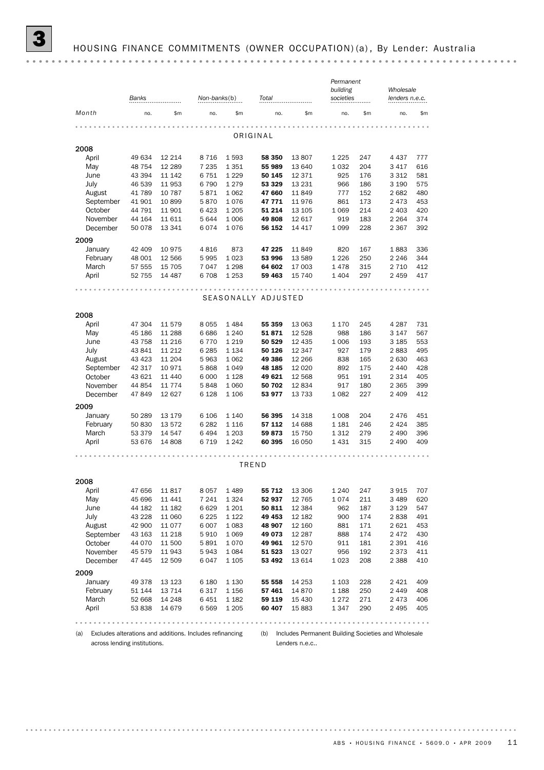*Permanent*

|                                                                 | Banks   |          | Non-banks(b) |               | Total               |                                                     | building<br>societies |     | Wholesale<br>lenders n.e.c. |       |  |
|-----------------------------------------------------------------|---------|----------|--------------|---------------|---------------------|-----------------------------------------------------|-----------------------|-----|-----------------------------|-------|--|
| Month                                                           | no.     | \$m      | no.          | \$m\$         | no.                 | \$m                                                 | no.                   | \$m | no.                         | \$m\$ |  |
|                                                                 |         |          |              |               |                     |                                                     |                       |     |                             |       |  |
|                                                                 |         |          |              |               | ORIGINAL            |                                                     |                       |     |                             |       |  |
| 2008                                                            |         |          |              |               |                     |                                                     |                       |     |                             |       |  |
| April                                                           | 49 634  | 12 2 14  | 8716         | 1593          | 58 350              | 13807                                               | 1 2 2 5               | 247 | 4 4 3 7                     | 777   |  |
| May                                                             | 48 754  | 12 289   | 7 2 3 5      | 1351          | 55 989              | 13 640                                              | 1032                  | 204 | 3 4 1 7                     | 616   |  |
| June                                                            | 43 394  | 11 142   | 6751         | 1 2 2 9       | 50 145              | 12 371                                              | 925                   | 176 | 3 3 1 2                     | 581   |  |
| July                                                            | 46 539  | 11953    | 6790         | 1279          | 53 329              | 13 231                                              | 966                   | 186 | 3 1 9 0                     | 575   |  |
| August                                                          | 41 789  | 10 787   | 5871         | 1 0 6 2       | 47 660              | 11 849                                              | 777                   | 152 | 2682                        | 480   |  |
| September                                                       | 41 901  | 10899    | 5870         | 1076          | 47 771              | 11 976                                              | 861                   | 173 | 2473                        | 453   |  |
| October                                                         | 44 791  | 11 901   | 6423         | 1 2 0 5       | 51 214              | 13 105                                              | 1 0 6 9               | 214 | 2 4 0 3                     | 420   |  |
| November                                                        | 44 164  | 11 611   | 5644         | 1 0 0 6       | 49808               | 12 617                                              | 919                   | 183 | 2 2 6 4                     | 374   |  |
| December                                                        | 50 0 78 | 13 341   | 6074         | 1076          | 56 152              | 14 417                                              | 1 0 9 9               | 228 | 2 3 6 7                     | 392   |  |
| 2009                                                            |         |          |              |               |                     |                                                     |                       |     |                             |       |  |
|                                                                 |         |          |              |               |                     |                                                     |                       |     |                             |       |  |
| January                                                         | 42 409  | 10975    | 4816         | 873           | 47 225              | 11 849                                              | 820                   | 167 | 1883                        | 336   |  |
| February                                                        | 48 001  | 12 566   | 5995         | 1023          | 53 996              | 13 589                                              | 1 2 2 6               | 250 | 2 2 4 6                     | 344   |  |
| March                                                           | 57 555  | 15 705   | 7047         | 1 2 9 8       | 64 602              | 17 003                                              | 1478                  | 315 | 2 7 1 0                     | 412   |  |
| April                                                           | 52 755  | 14 4 8 7 | 6708         | 1 2 5 3       | 59 463              | 15 740                                              | 1 4 0 4               | 297 | 2 4 5 9                     | 417   |  |
|                                                                 |         |          |              |               | .                   |                                                     |                       |     |                             |       |  |
|                                                                 |         |          |              |               | SEASONALLY ADJUSTED |                                                     |                       |     |                             |       |  |
| 2008                                                            |         |          |              |               |                     |                                                     |                       |     |                             |       |  |
| April                                                           | 47 304  | 11 579   | 8055         | 1484          | 55 359              | 13 063                                              | 1 1 7 0               | 245 | 4 2 8 7                     | 731   |  |
| May                                                             | 45 186  | 11 288   | 6686         | 1 2 4 0       | 51871               | 12 5 28                                             | 988                   | 186 | 3 1 4 7                     | 567   |  |
| June                                                            | 43 758  | 11 216   | 6770         | 1 2 1 9       | 50 529              | 12 435                                              | 1 0 0 6               | 193 | 3 1 8 5                     | 553   |  |
|                                                                 |         |          | 6 2 8 5      |               |                     |                                                     | 927                   |     |                             | 495   |  |
| July                                                            | 43 841  | 11 2 12  |              | 1 1 3 4       | 50 126              | 12 347                                              |                       | 179 | 2883                        |       |  |
| August                                                          | 43 4 23 | 11 204   | 5963         | 1 0 6 2       | 49 386              | 12 266                                              | 838                   | 165 | 2630                        | 463   |  |
| September                                                       | 42 317  | 10971    | 5868         | 1049          | 48 185              | 12 0 20                                             | 892                   | 175 | 2 4 4 0                     | 428   |  |
| October                                                         | 43 621  | 11 440   | 6 0 0 0      | 1 1 2 8       | 49 621              | 12 5 68                                             | 951                   | 191 | 2 3 1 4                     | 405   |  |
| November                                                        | 44 854  | 11 7 7 4 | 5848         | 1 0 6 0       | 50 702              | 12834                                               | 917                   | 180 | 2 3 6 5                     | 399   |  |
| December                                                        | 47849   | 12 627   | 6 1 28       | 1 1 0 6       | 53 977              | 13 733                                              | 1082                  | 227 | 2 4 0 9                     | 412   |  |
| 2009                                                            |         |          |              |               |                     |                                                     |                       |     |                             |       |  |
| January                                                         | 50 289  | 13 179   | 6 10 6       | 1 1 4 0       | 56 395              | 14 318                                              | 1 0 0 8               | 204 | 2476                        | 451   |  |
| February                                                        | 50 830  | 13 572   | 6 2 8 2      | 1 1 1 6       | 57 112              | 14 688                                              | 1 1 8 1               | 246 | 2 4 2 4                     | 385   |  |
| March                                                           | 53 379  | 14 547   | 6494         | 1 2 0 3       | 59873               | 15 750                                              | 1 3 1 2               | 279 | 2 4 9 0                     | 396   |  |
| April                                                           | 53 676  | 14 808   | 6719         | 1 2 4 2       | 60 395              | 16 050                                              | 1431                  | 315 | 2 4 9 0                     | 409   |  |
|                                                                 |         |          |              | $- - - - - -$ |                     |                                                     |                       |     |                             |       |  |
|                                                                 |         |          |              |               | TREND               |                                                     |                       |     |                             |       |  |
| 2008                                                            |         |          |              |               |                     |                                                     |                       |     |                             |       |  |
| April                                                           | 47 656  | 11817    | 8057         | 1489          | 55 712              | 13 306                                              | 1 2 4 0               | 247 | 3915                        | 707   |  |
| May                                                             | 45 696  | 11 441   | 7 241        | 1 324         | 52 937              | 12 765                                              | 1074                  | 211 | 3 489                       | 620   |  |
| June                                                            | 44 182  | 11 182   | 6629         | 1 2 0 1       | 50 811              | 12 3 84                                             | 962                   | 187 | 3 1 2 9                     | 547   |  |
| July                                                            |         |          |              |               |                     | 12 182                                              |                       |     | 2838                        |       |  |
|                                                                 | 43 2 28 | 11 060   | 6 2 2 5      | 1 1 2 2       | 49 453              |                                                     | 900                   | 174 |                             | 491   |  |
| August                                                          | 42 900  | 11 0 7 7 | 6007         | 1 0 8 3       | 48 907              | 12 160                                              | 881                   | 171 | 2621                        | 453   |  |
| September                                                       | 43 163  | 11 218   | 5910         | 1 0 6 9       | 49 073              | 12 287                                              | 888                   | 174 | 2472                        | 430   |  |
| October                                                         | 44 0 70 | 11 500   | 5891         | 1070          | 49 961              | 12 570                                              | 911                   | 181 | 2 3 9 1                     | 416   |  |
| November                                                        | 45 579  | 11943    | 5943         | 1 0 8 4       | 51 523              | 13 0 27                                             | 956                   | 192 | 2 3 7 3                     | 411   |  |
| December                                                        | 47 445  | 12 509   | 6047         | 1 1 0 5       | 53 492              | 13 614                                              | 1023                  | 208 | 2 3 8 8                     | 410   |  |
| 2009                                                            |         |          |              |               |                     |                                                     |                       |     |                             |       |  |
| January                                                         | 49 378  | 13 123   | 6 1 8 0      | 1 1 3 0       | 55 558              | 14 253                                              | 1 1 0 3               | 228 | 2 4 2 1                     | 409   |  |
| February                                                        | 51 144  | 13 7 14  | 6 317        | 1 1 5 6       | 57461               | 14 870                                              | 1 1 8 8               | 250 | 2 4 4 9                     | 408   |  |
| March                                                           | 52 668  | 14 248   | 6451         | 1 1 8 2       | 59 119              | 15 4 30                                             | 1 2 7 2               | 271 | 2473                        | 406   |  |
| April                                                           | 53 838  | 14 679   | 6569         | 1 2 0 5       | 60 407              | 15 883                                              | 1347                  | 290 | 2 4 9 5                     | 405   |  |
|                                                                 |         | .        |              |               | .                   |                                                     | .                     |     |                             |       |  |
|                                                                 |         |          |              |               |                     |                                                     |                       |     |                             |       |  |
| Excludes alterations and additions. Includes refinancing<br>(a) |         |          |              |               | (b)                 | Includes Permanent Building Societies and Wholesale |                       |     |                             |       |  |
| across lending institutions.                                    |         |          |              |               |                     | Lenders n.e.c                                       |                       |     |                             |       |  |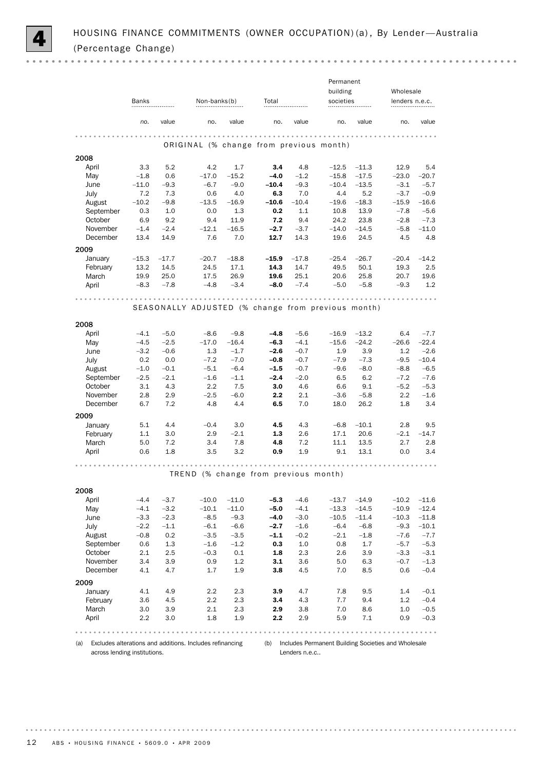|                      | Banks          |               |                                                    | Non-banks(b)<br>Total |                |                | Permanent<br>building<br>societies |                | Wholesale<br>lenders n.e.c. |                   |
|----------------------|----------------|---------------|----------------------------------------------------|-----------------------|----------------|----------------|------------------------------------|----------------|-----------------------------|-------------------|
|                      | no.            | value         | no.                                                | value                 | no.            | value          | no.                                | value          | no.                         | value             |
|                      |                |               |                                                    |                       |                |                |                                    |                |                             |                   |
|                      |                |               | ORIGINAL (% change from previous month)            |                       |                |                |                                    |                |                             |                   |
| 2008                 |                |               |                                                    |                       |                |                |                                    |                |                             |                   |
| April                | 3.3            | 5.2           | 4.2                                                | 1.7                   | 3.4            | 4.8            | $-12.5$                            | $-11.3$        | 12.9                        | 5.4               |
| May                  | $-1.8$         | 0.6           | $-17.0$                                            | $-15.2$               | $-4.0$         | $-1.2$         | $-15.8$                            | $-17.5$        | $-23.0$                     | $-20.7$           |
| June                 | $-11.0$        | $-9.3$        | $-6.7$                                             | $-9.0$                | $-10.4$        | $-9.3$         | $-10.4$                            | $-13.5$        | $-3.1$                      | $-5.7$            |
| July<br>August       | 7.2<br>$-10.2$ | 7.3<br>$-9.8$ | 0.6<br>$-13.5$                                     | 4.0<br>$-16.9$        | 6.3<br>$-10.6$ | 7.0<br>$-10.4$ | 4.4<br>$-19.6$                     | 5.2<br>$-18.3$ | $-3.7$<br>$-15.9$           | $-0.9$<br>$-16.6$ |
| September            | 0.3            | 1.0           | 0.0                                                | 1.3                   | 0.2            | 1.1            | 10.8                               | 13.9           | $-7.8$                      | $-5.6$            |
| October              | 6.9            | 9.2           | 9.4                                                | 11.9                  | 7.2            | 9.4            | 24.2                               | 23.8           | $-2.8$                      | $-7.3$            |
| November             | $-1.4$         | $-2.4$        | $-12.1$                                            | $-16.5$               | $-2.7$         | $-3.7$         | $-14.0$                            | $-14.5$        | $-5.8$                      | $-11.0$           |
| December             | 13.4           | 14.9          | 7.6                                                | 7.0                   | 12.7           | 14.3           | 19.6                               | 24.5           | 4.5                         | 4.8               |
| 2009                 |                |               |                                                    |                       |                |                |                                    |                |                             |                   |
| January              | $-15.3$        | $-17.7$       | $-20.7$                                            | $-18.8$               | $-15.9$        | $-17.8$        | $-25.4$                            | $-26.7$        | $-20.4$                     | $-14.2$           |
| February             | 13.2           | 14.5          | 24.5                                               | 17.1                  | 14.3           | 14.7           | 49.5                               | 50.1           | 19.3                        | 2.5               |
| March                | 19.9           | 25.0          | 17.5                                               | 26.9                  | 19.6           | 25.1           | 20.6                               | 25.8           | 20.7                        | 19.6              |
| April                | $-8.3$         | $-7.8$        | $-4.8$                                             | $-3.4$                | $-8.0$         | $-7.4$         | $-5.0$                             | $-5.8$         | $-9.3$                      | 1.2               |
|                      |                |               |                                                    |                       |                |                |                                    |                |                             |                   |
|                      |                |               | SEASONALLY ADJUSTED (% change from previous month) |                       |                |                |                                    |                |                             |                   |
| 2008                 |                |               |                                                    |                       |                |                |                                    |                |                             |                   |
| April                | $-4.1$         | $-5.0$        | $-8.6$                                             | $-9.8$                | $-4.8$         | $-5.6$         | $-16.9$                            | $-13.2$        | 6.4                         | $-7.7$            |
| May                  | $-4.5$         | $-2.5$        | $-17.0$                                            | $-16.4$               | $-6.3$         | $-4.1$         | $-15.6$                            | $-24.2$        | $-26.6$                     | $-22.4$           |
| June                 | $-3.2$         | $-0.6$        | 1.3                                                | $-1.7$                | $-2.6$         | $-0.7$         | 1.9                                | 3.9            | 1.2                         | $-2.6$            |
| July                 | 0.2            | 0.0           | $-7.2$                                             | $-7.0$                | $-0.8$         | $-0.7$         | $-7.9$                             | $-7.3$         | $-9.5$                      | $-10.4$           |
| August               | $-1.0$         | $-0.1$        | $-5.1$                                             | $-6.4$                | $-1.5$         | $-0.7$         | $-9.6$                             | $-8.0$         | $-8.8$                      | $-6.5$            |
| September            | $-2.5$         | $-2.1$        | $-1.6$                                             | $-1.1$                | $-2.4$         | $-2.0$         | 6.5                                | 6.2            | $-7.2$                      | $-7.6$            |
| October<br>November  | 3.1<br>2.8     | 4.3<br>2.9    | 2.2<br>$-2.5$                                      | 7.5<br>$-6.0$         | 3.0<br>$2.2\,$ | 4.6<br>2.1     | 6.6<br>$-3.6$                      | 9.1<br>$-5.8$  | $-5.2$<br>$2.2\,$           | $-5.3$<br>$-1.6$  |
| December             | 6.7            | 7.2           | 4.8                                                | 4.4                   | 6.5            | 7.0            | 18.0                               | 26.2           | 1.8                         | 3.4               |
|                      |                |               |                                                    |                       |                |                |                                    |                |                             |                   |
| 2009<br>January      | 5.1            | 4.4           | $-0.4$                                             | 3.0                   | 4.5            | 4.3            | $-6.8$                             | $-10.1$        | 2.8                         | 9.5               |
| February             | 1.1            | 3.0           | 2.9                                                | $-2.1$                | 1.3            | 2.6            | 17.1                               | 20.6           | $-2.1$                      | $-14.7$           |
| March                | 5.0            | 7.2           | 3.4                                                | 7.8                   | 4.8            | 7.2            | 11.1                               | 13.5           | 2.7                         | 2.8               |
| April                | 0.6            | 1.8           | 3.5                                                | 3.2                   | 0.9            | 1.9            | 9.1                                | 13.1           | 0.0                         | 3.4               |
|                      |                |               |                                                    |                       |                |                |                                    |                |                             |                   |
|                      |                |               | TREND (% change from previous month)               |                       |                |                |                                    |                |                             |                   |
| 2008                 |                |               |                                                    |                       |                |                |                                    |                |                             |                   |
| April                | $-4.4$         | $-3.7$        | $-10.0$                                            | $-11.0$               | $-5.3$         | $-4.6$         | $-13.7$                            | $-14.9$        | $-10.2$                     | $-11.6$           |
| May                  | $-4.1$         | $-3.2$        | $-10.1$                                            | $-11.0$               | $-5.0$         | $-4.1$         | $-13.3$                            | $-14.5$        | $-10.9$                     | $-12.4$           |
| June                 | $-3.3$         | $-2.3$        | $-8.5$                                             | $-9.3$                | $-4.0$         | $-3.0$         | $-10.5$                            | $-11.4$        | $-10.3$                     | $-11.8$           |
| July                 | $-2.2$         | $-1.1$        | $-6.1$                                             | $-6.6$                | $-2.7$         | $-1.6$         | $-6.4$                             | $-6.8$         | $-9.3$                      | $-10.1$           |
| August               | $-0.8$         | 0.2           | $-3.5$                                             | $-3.5$                | $-1.1$         | $-0.2$         | $-2.1$                             | $-1.8$         | $-7.6$                      | $-7.7$            |
| September            | 0.6            | 1.3           | $-1.6$                                             | $-1.2$                | 0.3            | $1.0\,$        | 0.8                                | 1.7            | $-5.7$                      | $-5.3$            |
| October              | 2.1            | 2.5           | $-0.3$                                             | $0.1\,$               | 1.8            | 2.3            | 2.6                                | 3.9            | $-3.3$                      | $-3.1$            |
| November<br>December | 3.4<br>4.1     | 3.9<br>4.7    | 0.9<br>1.7                                         | 1.2<br>1.9            | 3.1<br>3.8     | 3.6<br>4.5     | 5.0<br>7.0                         | 6.3<br>8.5     | $-0.7$<br>0.6               | $-1.3$<br>$-0.4$  |
| 2009                 |                |               |                                                    |                       |                |                |                                    |                |                             |                   |
| January              | 4.1            | 4.9           | 2.2                                                | 2.3                   | 3.9            | 4.7            | 7.8                                | 9.5            | 1.4                         | $-0.1$            |
| February             | 3.6            | 4.5           | 2.2                                                | 2.3                   | 3.4            | 4.3            | 7.7                                | 9.4            | 1.2                         | $-0.4$            |
| March                | 3.0            | 3.9           | 2.1                                                | 2.3                   | 2.9            | 3.8            | 7.0                                | 8.6            | 1.0                         | $-0.5$            |
| April                | 2.2            | 3.0           | 1.8                                                | 1.9                   | 2.2            | 2.9            | 5.9                                | 7.1            | 0.9                         | $-0.3$            |
|                      |                |               |                                                    |                       |                |                |                                    |                |                             |                   |

(a) Excludes alterations and additions. Includes refinancing across lending institutions.

(b) Includes Permanent Building Societies and Wholesale Lenders n.e.c..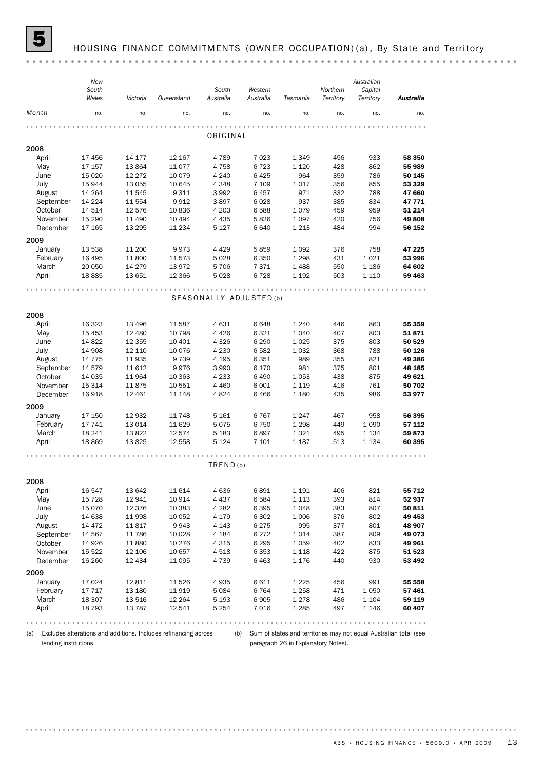

#### HOUSING FINANCE COMMITMENTS (OWNER OCCUPATION) (a), By State and Territory

(a) Excludes alterations and additions. Includes refinancing across (b) Sum of states and territories may not equal Australian total (see lending institutions.

paragraph 26 in Explanatory Notes).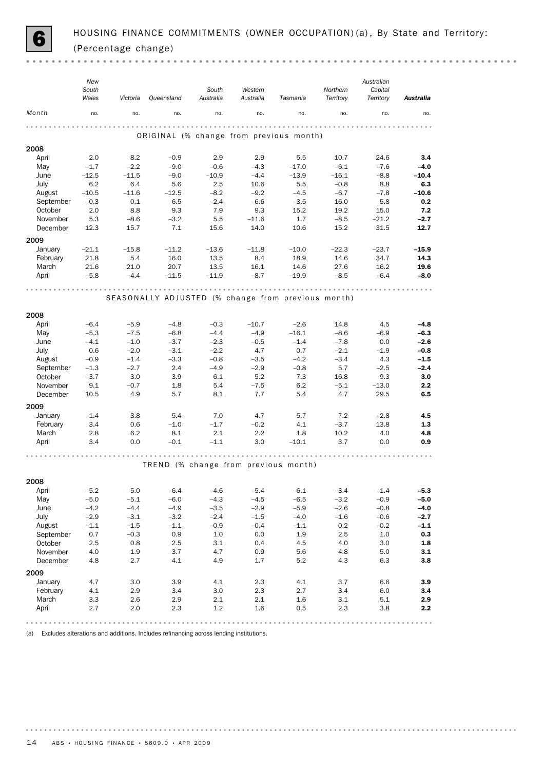

 $-0.000$  $\alpha$  .  $\alpha$  

|           | New<br>South<br>Wales | Victoria | Queensland                                         | South<br>Australia   | Western<br>Australia | Tasmania | Northern<br>Territory | Australian<br>Capital<br>Territory | Australia |
|-----------|-----------------------|----------|----------------------------------------------------|----------------------|----------------------|----------|-----------------------|------------------------------------|-----------|
| Month     | no.                   | no.      | no.                                                | no.                  | no.                  | no.      | no.                   | no.                                | no.       |
|           |                       |          | ORIGINAL (% change from previous month)            | $\sim$ $\sim$ $\sim$ |                      |          |                       |                                    |           |
| 2008      |                       |          |                                                    |                      |                      |          |                       |                                    |           |
| April     | 2.0                   | 8.2      | $-0.9$                                             | 2.9                  | 2.9                  | 5.5      | 10.7                  | 24.6                               | 3.4       |
| May       | $-1.7$                | $-2.2$   | $-9.0$                                             | $-0.6$               | $-4.3$               | $-17.0$  | $-6.1$                | $-7.6$                             | $-4.0$    |
| June      | $-12.5$               | $-11.5$  | $-9.0$                                             | $-10.9$              | $-4.4$               | $-13.9$  | $-16.1$               | $-8.8$                             | $-10.4$   |
| July      | 6.2                   | 6.4      | 5.6                                                | 2.5                  | 10.6                 | 5.5      | $-0.8$                | 8.8                                | 6.3       |
| August    | $-10.5$               | $-11.6$  | $-12.5$                                            | $-8.2$               | $-9.2$               | $-4.5$   | $-6.7$                | $-7.8$                             | $-10.6$   |
| September | $-0.3$                | 0.1      | 6.5                                                | $-2.4$               | $-6.6$               | $-3.5$   | 16.0                  | 5.8                                | 0.2       |
| October   | 2.0                   | 8.8      | 9.3                                                | 7.9                  | 9.3                  | 15.2     | 19.2                  | 15.0                               | 7.2       |
| November  | 5.3                   | $-8.6$   | $-3.2$                                             | 5.5                  | $-11.6$              | 1.7      | $-8.5$                | $-21.2$                            | $-2.7$    |
| December  | 12.3                  | 15.7     | 7.1                                                | 15.6                 | 14.0                 | 10.6     | 15.2                  | 31.5                               | 12.7      |
| 2009      |                       |          |                                                    |                      |                      |          |                       |                                    |           |
| January   | $-21.1$               | $-15.8$  | $-11.2$                                            | $-13.6$              | $-11.8$              | $-10.0$  | $-22.3$               | $-23.7$                            | -15.9     |
| February  | 21.8                  | 5.4      | 16.0                                               | 13.5                 | 8.4                  | 18.9     | 14.6                  | 34.7                               | 14.3      |
| March     | 21.6                  | 21.0     | 20.7                                               | 13.5                 | 16.1                 | 14.6     | 27.6                  | 16.2                               | 19.6      |
| April     | $-5.8$                | $-4.4$   | $-11.5$                                            | $-11.9$              | $-8.7$               | $-19.9$  | $-8.5$                | $-6.4$                             | $-8.0$    |
|           |                       |          |                                                    |                      |                      |          |                       |                                    |           |
|           |                       |          | SEASONALLY ADJUSTED (% change from previous month) |                      |                      |          |                       |                                    |           |
| 2008      |                       |          |                                                    |                      |                      |          |                       |                                    |           |
| April     | $-6.4$                | $-5.9$   | $-4.8$                                             | $-0.3$               | $-10.7$              | $-2.6$   | 14.8                  | 4.5                                | $-4.8$    |
| May       | $-5.3$                | $-7.5$   | $-6.8$                                             | $-4.4$               | $-4.9$               | $-16.1$  | $-8.6$                | $-6.9$                             | $-6.3$    |
| June      | $-4.1$                | $-1.0$   | $-3.7$                                             | $-2.3$               | $-0.5$               | $-1.4$   | $-7.8$                | 0.0                                | $-2.6$    |
| July      | 0.6                   | $-2.0$   | $-3.1$                                             | $-2.2$               | 4.7                  | 0.7      | $-2.1$                | $-1.9$                             | $-0.8$    |
| August    | $-0.9$                | $-1.4$   | $-3.3$                                             | $-0.8$               | $-3.5$               | $-4.2$   | $-3.4$                | 4.3                                | $-1.5$    |
| September | $-1.3$                | $-2.7$   | 2.4                                                | $-4.9$               | $-2.9$               | $-0.8$   | 5.7                   | $-2.5$                             | $-2.4$    |
| October   | $-3.7$                | 3.0      | 3.9                                                | 6.1                  | 5.2                  | 7.3      | 16.8                  | 9.3                                | 3.0       |
| November  | 9.1                   | $-0.7$   | 1.8                                                | 5.4                  | $-7.5$               | 6.2      | $-5.1$                | $-13.0$                            | 2.2       |
| December  | 10.5                  | 4.9      | 5.7                                                | 8.1                  | 7.7                  | 5.4      | 4.7                   | 29.5                               | 6.5       |
| 2009      |                       |          |                                                    |                      |                      |          |                       |                                    |           |
| January   | 1.4                   | 3.8      | 5.4                                                | 7.0                  | 4.7                  | 5.7      | 7.2                   | $-2.8$                             | 4.5       |
| February  | 3.4                   | 0.6      | $-1.0$                                             | $-1.7$               | $-0.2$               | 4.1      | $-3.7$                | 13.8                               | 1.3       |
| March     | 2.8                   | 6.2      | 8.1                                                | 2.1                  | $2.2\,$              | 1.8      | 10.2                  | 4.0                                | 4.8       |
| April     | 3.4                   | 0.0      | $-0.1$                                             | $-1.1$               | 3.0                  | $-10.1$  | 3.7                   | 0.0                                | 0.9       |
|           |                       |          |                                                    |                      |                      |          |                       |                                    |           |
|           |                       |          | TREND (% change from previous month)               |                      |                      |          |                       |                                    |           |
| 2008      |                       |          |                                                    |                      |                      |          |                       |                                    |           |
| April     | $-5.2$                | $-5.0$   | $-6.4$                                             | $-4.6$               | $-5.4$               | $-6.1$   | $-3.4$                | $-1.4$                             | $-5.3$    |
| May       | $-5.0$                | $-5.1$   | $-6.0$                                             | $-4.3$               | $-4.5$               | $-6.5$   | $-3.2$                | $-0.9$                             | $-5.0$    |
| June      | $-4.2$                | $-4.4$   | $-4.9$                                             | $-3.5$               | $-2.9$               | $-5.9$   | $-2.6$                | $-0.8$                             | $-4.0$    |
| July      | $-2.9$                | $-3.1$   | $-3.2$                                             | $-2.4$               | $-1.5$               | $-4.0$   | $-1.6$                | $-0.6$                             | $-2.7$    |
| August    | $-1.1$                | $-1.5$   | $-1.1$                                             | $-0.9$               | $-0.4$               | $-1.1$   | 0.2                   | $-0.2$                             | $-1.1$    |
| September | 0.7                   | $-0.3$   | 0.9                                                | 1.0                  | 0.0                  | 1.9      | 2.5                   | $1.0\,$                            | 0.3       |
| October   | 2.5                   | 0.8      | 2.5                                                | 3.1                  | 0.4                  | 4.5      | 4.0                   | 3.0                                | $1.8\,$   |
| November  | 4.0                   | 1.9      | 3.7                                                | 4.7                  | 0.9                  | 5.6      | 4.8                   | 5.0                                | 3.1       |
| December  | 4.8                   | 2.7      | 4.1                                                | 4.9                  | 1.7                  | 5.2      | 4.3                   | 6.3                                | 3.8       |
| 2009      |                       |          |                                                    |                      |                      |          |                       |                                    |           |
| January   | 4.7                   | 3.0      | 3.9                                                | 4.1                  | 2.3                  | 4.1      | 3.7                   | 6.6                                | 3.9       |
| February  | 4.1                   | 2.9      | 3.4                                                | 3.0                  | 2.3                  | 2.7      | 3.4                   | 6.0                                | 3.4       |
| March     | 3.3                   | 2.6      | 2.9                                                | 2.1                  | 2.1                  | 1.6      | 3.1                   | 5.1                                | 2.9       |
| April     | 2.7                   | 2.0      | 2.3                                                | 1.2                  | 1.6                  | 0.5      | 2.3                   | 3.8                                | 2.2       |
|           |                       |          | .                                                  | .<br>0.0.0.0.0.0.    |                      | .        |                       |                                    | .         |

(a) Excludes alterations and additions. Includes refinancing across lending institutions.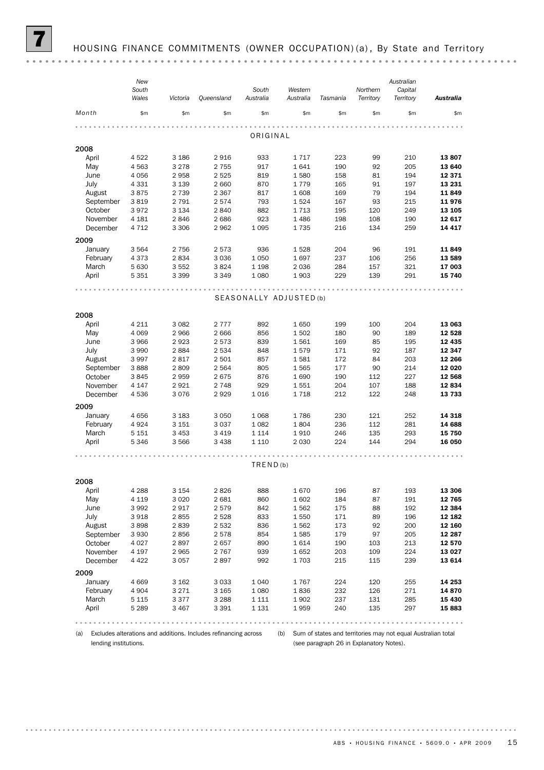(a) Excludes alterations and additions. Includes refinancing across (b) Sum of states and territories may not equal Australian total lending institutions.

(see paragraph 26 in Explanatory Notes).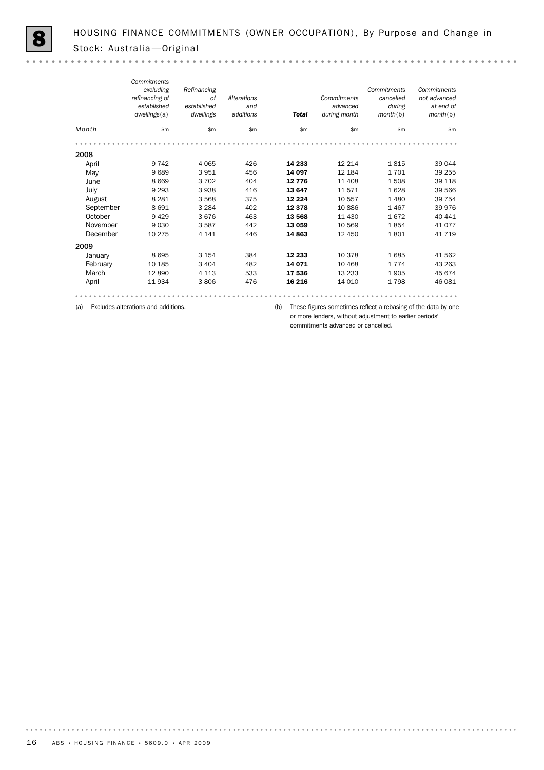$\sim$   $\sim$ 

|           | Commitments    |             |             |              |              |             |              |
|-----------|----------------|-------------|-------------|--------------|--------------|-------------|--------------|
|           | excluding      | Refinancing |             |              |              | Commitments | Commitments  |
|           | refinancing of | <b>of</b>   | Alterations |              | Commitments  | cancelled   | not advanced |
|           | established    | established | and         |              | advanced     | during      | at end of    |
|           | dwellings(a)   | dwellings   | additions   | <b>Total</b> | during month | month(b)    | month(b)     |
| Month     | \$m\$          | \$m         | \$m         | \$m\$        | \$m\$        | \$m         | \$m          |
|           |                |             |             |              |              |             |              |
| 2008      |                |             |             |              |              |             |              |
| April     | 9 7 4 2        | 4 0 6 5     | 426         | 14 233       | 12 214       | 1815        | 39 044       |
| May       | 9689           | 3951        | 456         | 14 097       | 12 184       | 1701        | 39 255       |
| June      | 8 6 6 9        | 3 7 0 2     | 404         | 12 7 7 6     | 11 408       | 1508        | 39 118       |
| July      | 9 2 9 3        | 3938        | 416         | 13 647       | 11 571       | 1628        | 39 566       |
| August    | 8 2 8 1        | 3568        | 375         | 12 2 2 4     | 10 557       | 1 4 8 0     | 39 754       |
| September | 8691           | 3 2 8 4     | 402         | 12 3 78      | 10886        | 1467        | 39 976       |
| October   | 9 4 2 9        | 3676        | 463         | 13 568       | 11 430       | 1672        | 40 441       |
| November  | 9030           | 3587        | 442         | 13 059       | 10 569       | 1854        | 41 077       |
| December  | 10 275         | 4 1 4 1     | 446         | 14863        | 12 450       | 1801        | 41 719       |
| 2009      |                |             |             |              |              |             |              |
| January   | 8695           | 3 1 5 4     | 384         | 12 233       | 10 378       | 1685        | 41 562       |
| February  | 10 185         | 3 4 0 4     | 482         | 14 071       | 10 4 68      | 1 7 7 4     | 43 263       |
| March     | 12 890         | 4 1 1 3     | 533         | 17 536       | 13 2 3 3     | 1905        | 45 674       |
| April     | 11934          | 3806        | 476         | 16 216       | 14 010       | 1798        | 46 081       |
|           |                |             |             |              |              |             |              |

(a) Excludes alterations and additions.

(b) These figures sometimes reflect a rebasing of the data by one or more lenders, without adjustment to earlier periods' commitments advanced or cancelled.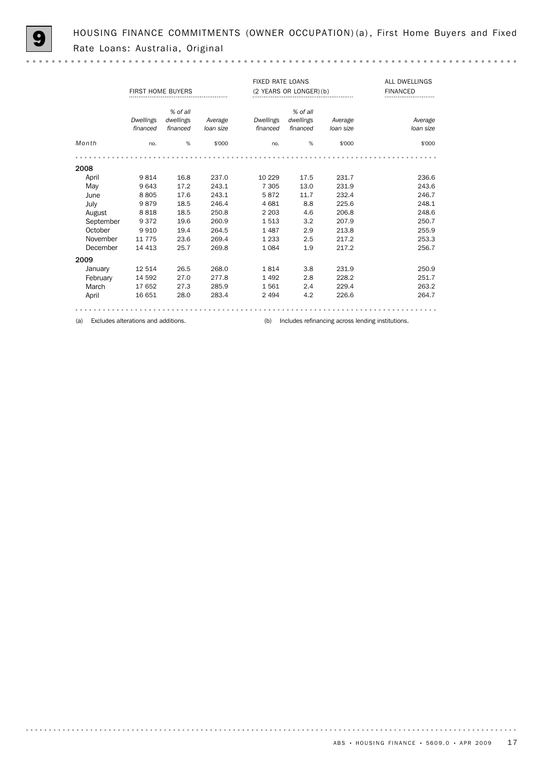HOUSING FINANCE COMMITMENTS (OWNER OCCUPATION) (a), First Home Buyers and Fixed Rate Loans: Australia, Original

|           | <b>FIRST HOME BUYERS</b>            |           |           | <b>FIXED RATE LOANS</b> | (2 YEARS OR LONGER) (b) | <b>ALL DWELLINGS</b><br><b>FINANCED</b> |                                                   |  |  |  |
|-----------|-------------------------------------|-----------|-----------|-------------------------|-------------------------|-----------------------------------------|---------------------------------------------------|--|--|--|
|           |                                     | % of all  |           |                         | % of all                |                                         |                                                   |  |  |  |
|           | <b>Dwellings</b>                    | dwellings | Average   | <b>Dwellings</b>        | dwellings               | Average                                 | Average                                           |  |  |  |
|           | financed                            | financed  | loan size | financed                | financed                | loan size                               | loan size                                         |  |  |  |
| Month     | no.                                 | %         | \$'000    | no.                     | %                       | \$'000                                  | \$'000                                            |  |  |  |
|           |                                     |           |           |                         |                         |                                         |                                                   |  |  |  |
| 2008      |                                     |           |           |                         |                         |                                         |                                                   |  |  |  |
| April     | 9814                                | 16.8      | 237.0     | 10 2 29                 | 17.5                    | 231.7                                   | 236.6                                             |  |  |  |
| May       | 9643                                | 17.2      | 243.1     | 7 3 0 5                 | 13.0                    | 231.9                                   | 243.6                                             |  |  |  |
| June      | 8805                                | 17.6      | 243.1     | 5872                    | 11.7                    | 232.4                                   | 246.7                                             |  |  |  |
| July      | 9879                                | 18.5      | 246.4     | 4681                    | 8.8                     | 225.6                                   | 248.1                                             |  |  |  |
| August    | 8818                                | 18.5      | 250.8     | 2 2 0 3                 | 4.6                     | 206.8                                   | 248.6                                             |  |  |  |
| September | 9 3 7 2                             | 19.6      | 260.9     | 1513                    | 3.2                     | 207.9                                   | 250.7                                             |  |  |  |
| October   | 9910                                | 19.4      | 264.5     | 1487                    | 2.9                     | 213.8                                   | 255.9                                             |  |  |  |
| November  | 11 7 7 5                            | 23.6      | 269.4     | 1 2 3 3                 | 2.5                     | 217.2                                   | 253.3                                             |  |  |  |
| December  | 14 4 13                             | 25.7      | 269.8     | 1084                    | 1.9                     | 217.2                                   | 256.7                                             |  |  |  |
| 2009      |                                     |           |           |                         |                         |                                         |                                                   |  |  |  |
| January   | 12 514                              | 26.5      | 268.0     | 1814                    | 3.8                     | 231.9                                   | 250.9                                             |  |  |  |
| February  | 14 592                              | 27.0      | 277.8     | 1492                    | 2.8                     | 228.2                                   | 251.7                                             |  |  |  |
| March     | 17 652                              | 27.3      | 285.9     | 1561                    | 2.4                     | 229.4                                   | 263.2                                             |  |  |  |
| April     | 16 651                              | 28.0      | 283.4     | 2 4 9 4                 | 4.2                     | 226.6                                   | 264.7                                             |  |  |  |
|           |                                     |           |           |                         |                         |                                         |                                                   |  |  |  |
| (a)       | Excludes alterations and additions. |           |           | (b)                     |                         |                                         | Includes refinancing across lending institutions. |  |  |  |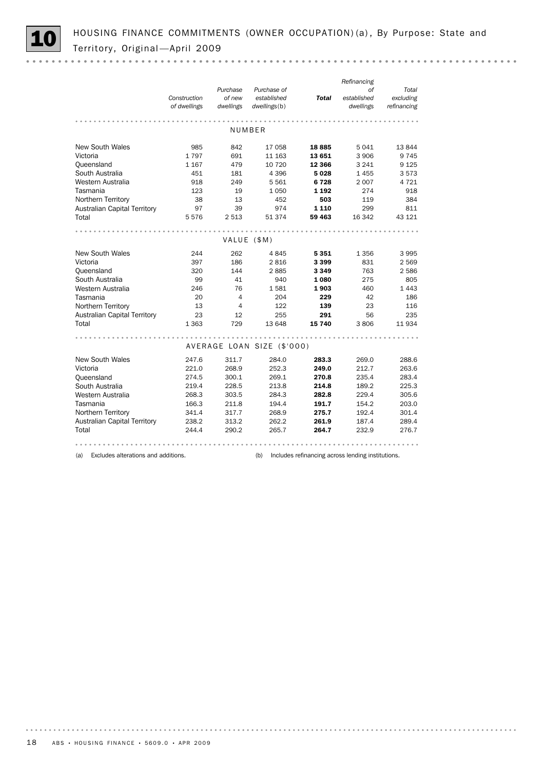

|                                     | Construction<br>of dwellings | Purchase<br>of new<br>dwellings | Purchase of<br>established<br>dwellings(b) | <b>Total</b> | Refinancing<br>оf<br>established<br>dwellings | Total<br>excluding<br>refinancing |
|-------------------------------------|------------------------------|---------------------------------|--------------------------------------------|--------------|-----------------------------------------------|-----------------------------------|
|                                     |                              |                                 |                                            |              |                                               |                                   |
|                                     |                              |                                 | NUMBER                                     |              |                                               |                                   |
| <b>New South Wales</b>              | 985                          | 842                             | 17058                                      | 18885        | 5041                                          | 13844                             |
| Victoria                            | 1797                         | 691                             | 11 163                                     | 13 651       | 3 906                                         | 9 7 4 5                           |
| Queensland                          | 1 1 6 7                      | 479                             | 10 7 20                                    | 12 3 66      | 3 2 4 1                                       | 9 1 25                            |
| South Australia                     | 451                          | 181                             | 4 3 9 6                                    | 5028         | 1455                                          | 3573                              |
| Western Australia                   | 918                          | 249                             | 5561                                       | 6728         | 2 0 0 7                                       | 4 7 2 1                           |
| Tasmania                            | 123                          | 19                              | 1050                                       | 1 1 9 2      | 274                                           | 918                               |
| Northern Territory                  | 38                           | 13                              | 452                                        | 503          | 119                                           | 384                               |
| <b>Australian Capital Territory</b> | 97                           | 39                              | 974                                        | 1 1 1 0      | 299                                           | 811                               |
| Total                               | 5576                         | 2 5 1 3                         | 51 374                                     | 59 463       | 16 342                                        | 43 121                            |
|                                     |                              |                                 |                                            |              |                                               |                                   |
|                                     |                              | VALUE (\$M)                     |                                            |              |                                               |                                   |
| <b>New South Wales</b>              | 244                          | 262                             | 4845                                       | 5351         | 1 3 5 6                                       | 3 9 9 5                           |
| Victoria                            | 397                          | 186                             | 2816                                       | 3399         | 831                                           | 2 5 6 9                           |
| Queensland                          | 320                          | 144                             | 2885                                       | 3349         | 763                                           | 2 5 8 6                           |
| South Australia                     | 99                           | 41                              | 940                                        | 1080         | 275                                           | 805                               |
| Western Australia                   | 246                          | 76                              | 1581                                       | 1903         | 460                                           | 1 4 4 3                           |
| Tasmania                            | 20                           | 4                               | 204                                        | 229          | 42                                            | 186                               |
| Northern Territory                  | 13                           | $\overline{4}$                  | 122                                        | 139          | 23                                            | 116                               |
| <b>Australian Capital Territory</b> | 23                           | 12                              | 255                                        | 291          | 56                                            | 235                               |
| Total                               | 1 3 6 3                      | 729                             | 13 648                                     | 15 740       | 3806                                          | 11 934                            |
|                                     |                              |                                 |                                            |              |                                               |                                   |
|                                     |                              |                                 | AVERAGE LOAN SIZE (\$'000)                 |              |                                               |                                   |
| New South Wales                     | 247.6                        | 311.7                           | 284.0                                      | 283.3        | 269.0                                         | 288.6                             |
| Victoria                            | 221.0                        | 268.9                           | 252.3                                      | 249.0        | 212.7                                         | 263.6                             |
| Queensland                          | 274.5                        | 300.1                           | 269.1                                      | 270.8        | 235.4                                         | 283.4                             |
| South Australia                     | 219.4                        | 228.5                           | 213.8                                      | 214.8        | 189.2                                         | 225.3                             |
| Western Australia                   | 268.3                        | 303.5                           | 284.3                                      | 282.8        | 229.4                                         | 305.6                             |
| Tasmania                            | 166.3                        | 211.8                           | 194.4                                      | 191.7        | 154.2                                         | 203.0                             |
| Northern Territory                  | 341.4                        | 317.7                           | 268.9                                      | 275.7        | 192.4                                         | 301.4                             |
| <b>Australian Capital Territory</b> | 238.2                        | 313.2                           | 262.2                                      | 261.9        | 187.4                                         | 289.4                             |
| Total                               | 244.4                        | 290.2                           | 265.7                                      | 264.7        | 232.9                                         | 276.7                             |
|                                     |                              |                                 |                                            |              |                                               |                                   |

(a) Excludes alterations and additions. (b) Includes refinancing across lending institutions.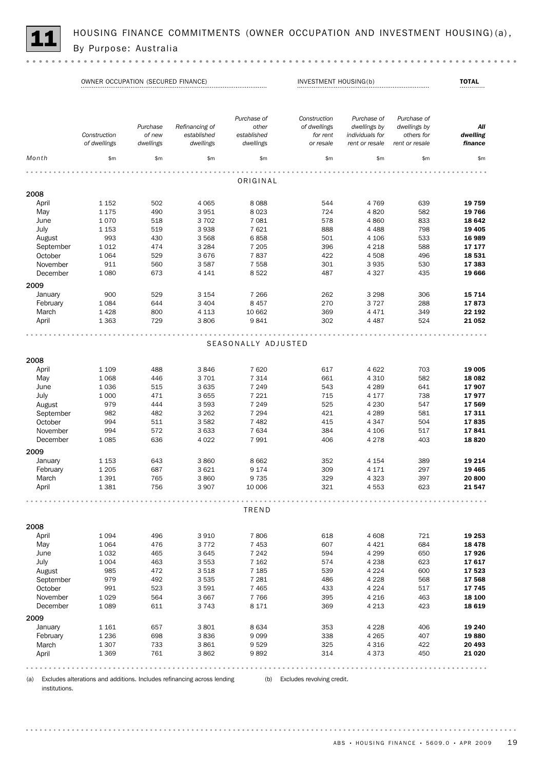

HOUSING FINANCE COMMITMENTS (OWNER OCCUPATION AND INVESTMENT HOUSING)(a),<br>By Purpose: Australia

OWNER OCCUPATION (SECURED FINANCE) TOTAL INVESTMENT HOUSING(b) TOTAL

| Construction       | Purchase<br>of new                                                                                                                                                       | Refinancing of<br>established                                                                                                           | Purchase of<br>other<br>established                                                                                                                                                      | Construction<br>of dwellings<br>for rent                                                                                                                                                        | Purchase of<br>dwellings by<br>individuals for                                                                                                          | Purchase of<br>dwellings by<br>others for                                                                                                                                                  | All<br>dwelling                                                                                                                              |
|--------------------|--------------------------------------------------------------------------------------------------------------------------------------------------------------------------|-----------------------------------------------------------------------------------------------------------------------------------------|------------------------------------------------------------------------------------------------------------------------------------------------------------------------------------------|-------------------------------------------------------------------------------------------------------------------------------------------------------------------------------------------------|---------------------------------------------------------------------------------------------------------------------------------------------------------|--------------------------------------------------------------------------------------------------------------------------------------------------------------------------------------------|----------------------------------------------------------------------------------------------------------------------------------------------|
| \$m                | \$m                                                                                                                                                                      | \$m                                                                                                                                     | \$m                                                                                                                                                                                      | \$m                                                                                                                                                                                             | \$m\$                                                                                                                                                   | \$m                                                                                                                                                                                        | finance<br>\$m\$                                                                                                                             |
|                    |                                                                                                                                                                          |                                                                                                                                         |                                                                                                                                                                                          |                                                                                                                                                                                                 |                                                                                                                                                         |                                                                                                                                                                                            |                                                                                                                                              |
|                    |                                                                                                                                                                          |                                                                                                                                         | ORIGINAL                                                                                                                                                                                 |                                                                                                                                                                                                 |                                                                                                                                                         |                                                                                                                                                                                            |                                                                                                                                              |
|                    |                                                                                                                                                                          |                                                                                                                                         |                                                                                                                                                                                          |                                                                                                                                                                                                 |                                                                                                                                                         |                                                                                                                                                                                            |                                                                                                                                              |
|                    |                                                                                                                                                                          |                                                                                                                                         |                                                                                                                                                                                          |                                                                                                                                                                                                 |                                                                                                                                                         |                                                                                                                                                                                            | 19 759                                                                                                                                       |
|                    |                                                                                                                                                                          |                                                                                                                                         |                                                                                                                                                                                          |                                                                                                                                                                                                 |                                                                                                                                                         |                                                                                                                                                                                            | 19 766                                                                                                                                       |
|                    |                                                                                                                                                                          |                                                                                                                                         |                                                                                                                                                                                          |                                                                                                                                                                                                 |                                                                                                                                                         |                                                                                                                                                                                            | 18 642                                                                                                                                       |
|                    |                                                                                                                                                                          |                                                                                                                                         |                                                                                                                                                                                          |                                                                                                                                                                                                 |                                                                                                                                                         |                                                                                                                                                                                            | 19 4 05                                                                                                                                      |
|                    |                                                                                                                                                                          |                                                                                                                                         |                                                                                                                                                                                          |                                                                                                                                                                                                 |                                                                                                                                                         |                                                                                                                                                                                            | 16 989                                                                                                                                       |
|                    |                                                                                                                                                                          |                                                                                                                                         |                                                                                                                                                                                          |                                                                                                                                                                                                 |                                                                                                                                                         |                                                                                                                                                                                            | 17 177                                                                                                                                       |
| 1064               | 529                                                                                                                                                                      | 3676                                                                                                                                    |                                                                                                                                                                                          | 422                                                                                                                                                                                             | 4508                                                                                                                                                    | 496                                                                                                                                                                                        | 18 531                                                                                                                                       |
| 911                | 560                                                                                                                                                                      | 3587                                                                                                                                    | 7 5 5 8                                                                                                                                                                                  | 301                                                                                                                                                                                             | 3935                                                                                                                                                    | 530                                                                                                                                                                                        | 17 383                                                                                                                                       |
| 1 0 8 0            | 673                                                                                                                                                                      | 4 1 4 1                                                                                                                                 | 8522                                                                                                                                                                                     | 487                                                                                                                                                                                             | 4 3 2 7                                                                                                                                                 | 435                                                                                                                                                                                        | 19 666                                                                                                                                       |
|                    |                                                                                                                                                                          |                                                                                                                                         |                                                                                                                                                                                          |                                                                                                                                                                                                 |                                                                                                                                                         |                                                                                                                                                                                            |                                                                                                                                              |
|                    |                                                                                                                                                                          |                                                                                                                                         |                                                                                                                                                                                          |                                                                                                                                                                                                 |                                                                                                                                                         |                                                                                                                                                                                            | 15 7 14                                                                                                                                      |
|                    |                                                                                                                                                                          |                                                                                                                                         |                                                                                                                                                                                          |                                                                                                                                                                                                 |                                                                                                                                                         |                                                                                                                                                                                            | 17873                                                                                                                                        |
|                    |                                                                                                                                                                          |                                                                                                                                         |                                                                                                                                                                                          |                                                                                                                                                                                                 |                                                                                                                                                         |                                                                                                                                                                                            | 22 192                                                                                                                                       |
|                    |                                                                                                                                                                          |                                                                                                                                         |                                                                                                                                                                                          |                                                                                                                                                                                                 |                                                                                                                                                         |                                                                                                                                                                                            | 21 052                                                                                                                                       |
|                    |                                                                                                                                                                          |                                                                                                                                         |                                                                                                                                                                                          |                                                                                                                                                                                                 |                                                                                                                                                         |                                                                                                                                                                                            |                                                                                                                                              |
|                    |                                                                                                                                                                          |                                                                                                                                         |                                                                                                                                                                                          |                                                                                                                                                                                                 |                                                                                                                                                         |                                                                                                                                                                                            |                                                                                                                                              |
|                    |                                                                                                                                                                          |                                                                                                                                         |                                                                                                                                                                                          |                                                                                                                                                                                                 |                                                                                                                                                         |                                                                                                                                                                                            |                                                                                                                                              |
|                    |                                                                                                                                                                          |                                                                                                                                         |                                                                                                                                                                                          |                                                                                                                                                                                                 |                                                                                                                                                         |                                                                                                                                                                                            |                                                                                                                                              |
|                    |                                                                                                                                                                          |                                                                                                                                         |                                                                                                                                                                                          |                                                                                                                                                                                                 |                                                                                                                                                         |                                                                                                                                                                                            |                                                                                                                                              |
| 1 1 0 9            | 488                                                                                                                                                                      | 3846                                                                                                                                    | 7620                                                                                                                                                                                     | 617                                                                                                                                                                                             | 4 6 22                                                                                                                                                  | 703                                                                                                                                                                                        | 19 005                                                                                                                                       |
|                    |                                                                                                                                                                          |                                                                                                                                         |                                                                                                                                                                                          |                                                                                                                                                                                                 |                                                                                                                                                         |                                                                                                                                                                                            | 18 082                                                                                                                                       |
| 1036               |                                                                                                                                                                          | 3 6 3 5                                                                                                                                 | 7 2 4 9                                                                                                                                                                                  | 543                                                                                                                                                                                             | 4 2 8 9                                                                                                                                                 |                                                                                                                                                                                            | 17907                                                                                                                                        |
|                    |                                                                                                                                                                          |                                                                                                                                         |                                                                                                                                                                                          |                                                                                                                                                                                                 |                                                                                                                                                         |                                                                                                                                                                                            | 17977                                                                                                                                        |
|                    |                                                                                                                                                                          |                                                                                                                                         |                                                                                                                                                                                          |                                                                                                                                                                                                 |                                                                                                                                                         |                                                                                                                                                                                            | 17 569                                                                                                                                       |
|                    |                                                                                                                                                                          |                                                                                                                                         |                                                                                                                                                                                          |                                                                                                                                                                                                 |                                                                                                                                                         |                                                                                                                                                                                            | 17 311                                                                                                                                       |
|                    |                                                                                                                                                                          |                                                                                                                                         |                                                                                                                                                                                          |                                                                                                                                                                                                 |                                                                                                                                                         |                                                                                                                                                                                            | 17835                                                                                                                                        |
|                    |                                                                                                                                                                          |                                                                                                                                         |                                                                                                                                                                                          |                                                                                                                                                                                                 |                                                                                                                                                         |                                                                                                                                                                                            | 17841                                                                                                                                        |
|                    |                                                                                                                                                                          |                                                                                                                                         |                                                                                                                                                                                          |                                                                                                                                                                                                 |                                                                                                                                                         |                                                                                                                                                                                            | 18820                                                                                                                                        |
|                    |                                                                                                                                                                          |                                                                                                                                         |                                                                                                                                                                                          |                                                                                                                                                                                                 |                                                                                                                                                         |                                                                                                                                                                                            |                                                                                                                                              |
|                    |                                                                                                                                                                          |                                                                                                                                         |                                                                                                                                                                                          |                                                                                                                                                                                                 |                                                                                                                                                         |                                                                                                                                                                                            |                                                                                                                                              |
| 1 1 5 3            | 643                                                                                                                                                                      | 3860                                                                                                                                    | 8 6 6 2                                                                                                                                                                                  | 352                                                                                                                                                                                             | 4 1 5 4                                                                                                                                                 | 389                                                                                                                                                                                        | 19 214                                                                                                                                       |
| 1 2 0 5            | 687                                                                                                                                                                      | 3 6 2 1                                                                                                                                 | 9 1 7 4                                                                                                                                                                                  | 309                                                                                                                                                                                             | 4 1 7 1                                                                                                                                                 | 297                                                                                                                                                                                        | 19 4 65                                                                                                                                      |
| 1 3 9 1            | 765                                                                                                                                                                      | 3860                                                                                                                                    | 9 7 3 5                                                                                                                                                                                  | 329                                                                                                                                                                                             | 4 3 2 3                                                                                                                                                 | 397                                                                                                                                                                                        | 20 800                                                                                                                                       |
| 1381               | 756                                                                                                                                                                      | 3 9 0 7                                                                                                                                 | 10 006                                                                                                                                                                                   | 321                                                                                                                                                                                             | 4553                                                                                                                                                    | 623                                                                                                                                                                                        | 21547                                                                                                                                        |
|                    |                                                                                                                                                                          |                                                                                                                                         |                                                                                                                                                                                          |                                                                                                                                                                                                 |                                                                                                                                                         |                                                                                                                                                                                            |                                                                                                                                              |
|                    |                                                                                                                                                                          |                                                                                                                                         | TREND                                                                                                                                                                                    |                                                                                                                                                                                                 |                                                                                                                                                         |                                                                                                                                                                                            |                                                                                                                                              |
|                    |                                                                                                                                                                          |                                                                                                                                         |                                                                                                                                                                                          |                                                                                                                                                                                                 |                                                                                                                                                         |                                                                                                                                                                                            |                                                                                                                                              |
|                    |                                                                                                                                                                          |                                                                                                                                         |                                                                                                                                                                                          |                                                                                                                                                                                                 |                                                                                                                                                         |                                                                                                                                                                                            |                                                                                                                                              |
|                    | 496                                                                                                                                                                      | 3 9 1 0                                                                                                                                 | 7806                                                                                                                                                                                     | 618                                                                                                                                                                                             | 4 608                                                                                                                                                   | 721                                                                                                                                                                                        | 19 253                                                                                                                                       |
|                    |                                                                                                                                                                          | 3772                                                                                                                                    | 7 4 5 3                                                                                                                                                                                  | 607                                                                                                                                                                                             | 4 4 2 1                                                                                                                                                 | 684                                                                                                                                                                                        | 18 4 78                                                                                                                                      |
| 1064               | 476                                                                                                                                                                      |                                                                                                                                         |                                                                                                                                                                                          | 594                                                                                                                                                                                             | 4 2 9 9                                                                                                                                                 | 650                                                                                                                                                                                        | 17926                                                                                                                                        |
| 1032               | 465                                                                                                                                                                      | 3645                                                                                                                                    | 7 2 4 2                                                                                                                                                                                  |                                                                                                                                                                                                 |                                                                                                                                                         |                                                                                                                                                                                            |                                                                                                                                              |
| 1 0 0 4            | 463                                                                                                                                                                      | 3 5 5 3                                                                                                                                 | 7 1 6 2                                                                                                                                                                                  | 574                                                                                                                                                                                             | 4 2 3 8                                                                                                                                                 | 623                                                                                                                                                                                        | 17617                                                                                                                                        |
| 985                |                                                                                                                                                                          |                                                                                                                                         |                                                                                                                                                                                          |                                                                                                                                                                                                 |                                                                                                                                                         | 600                                                                                                                                                                                        |                                                                                                                                              |
|                    | 472                                                                                                                                                                      | 3518                                                                                                                                    | 7 1 8 5                                                                                                                                                                                  | 539                                                                                                                                                                                             | 4 2 2 4                                                                                                                                                 |                                                                                                                                                                                            | 17 523                                                                                                                                       |
| 979                | 492                                                                                                                                                                      | 3 5 3 5                                                                                                                                 | 7 2 8 1                                                                                                                                                                                  | 486                                                                                                                                                                                             | 4 2 2 8                                                                                                                                                 | 568                                                                                                                                                                                        | 17 568                                                                                                                                       |
| 991                | 523                                                                                                                                                                      | 3591                                                                                                                                    | 7 4 6 5                                                                                                                                                                                  | 433                                                                                                                                                                                             | 4 2 2 4                                                                                                                                                 | 517                                                                                                                                                                                        | 17 745                                                                                                                                       |
| 1029               | 564                                                                                                                                                                      | 3667                                                                                                                                    | 7766                                                                                                                                                                                     | 395                                                                                                                                                                                             | 4 2 1 6                                                                                                                                                 | 463                                                                                                                                                                                        | 18 100                                                                                                                                       |
| 1089               | 611                                                                                                                                                                      | 3743                                                                                                                                    | 8 1 7 1                                                                                                                                                                                  | 369                                                                                                                                                                                             | 4 2 1 3                                                                                                                                                 | 423                                                                                                                                                                                        | 18 619                                                                                                                                       |
|                    |                                                                                                                                                                          |                                                                                                                                         |                                                                                                                                                                                          |                                                                                                                                                                                                 |                                                                                                                                                         |                                                                                                                                                                                            |                                                                                                                                              |
| 1 1 6 1            | 657                                                                                                                                                                      | 3801                                                                                                                                    | 8 6 3 4                                                                                                                                                                                  | 353                                                                                                                                                                                             | 4 2 2 8                                                                                                                                                 | 406                                                                                                                                                                                        | 19 240                                                                                                                                       |
| 1 2 3 6            | 698                                                                                                                                                                      | 3836                                                                                                                                    | 9 0 9 9                                                                                                                                                                                  | 338                                                                                                                                                                                             | 4 2 6 5                                                                                                                                                 | 407                                                                                                                                                                                        | 19880                                                                                                                                        |
| 1 3 0 7<br>1 3 6 9 | 733<br>761                                                                                                                                                               | 3861<br>3862                                                                                                                            | 9529<br>9892                                                                                                                                                                             | 325<br>314                                                                                                                                                                                      | 4 3 1 6<br>4373                                                                                                                                         | 422<br>450                                                                                                                                                                                 | 20 493<br>21 0 20                                                                                                                            |
|                    | of dwellings<br>1 1 5 2<br>1 1 7 5<br>1070<br>1 1 5 3<br>993<br>1012<br>900<br>1084<br>1428<br>1 3 6 3<br>1 0 6 8<br>1 0 0 0<br>979<br>982<br>994<br>994<br>1085<br>1094 | dwellings<br>502<br>490<br>518<br>519<br>430<br>474<br>529<br>644<br>800<br>729<br>446<br>515<br>471<br>444<br>482<br>511<br>572<br>636 | dwellings<br>4 0 6 5<br>3951<br>3 7 0 2<br>3938<br>3 5 6 8<br>3 2 8 4<br>3 1 5 4<br>3 4 0 4<br>4 1 1 3<br>3806<br>3 7 0 1<br>3 6 5 5<br>3 5 9 3<br>3 2 6 2<br>3582<br>3 6 3 3<br>4 0 2 2 | dwellings<br>8088<br>8 0 2 3<br>7 0 8 1<br>7 6 2 1<br>6858<br>7 2 0 5<br>7837<br>7 2 6 6<br>8 4 5 7<br>10 662<br>9841<br>7 3 1 4<br>7 2 2 1<br>7 2 4 9<br>7 2 9 4<br>7 4 8 2<br>7 6 3 4<br>7991 | or resale<br>544<br>724<br>578<br>888<br>501<br>396<br>262<br>270<br>369<br>302<br>SEASONALLY ADJUSTED<br>661<br>715<br>525<br>421<br>415<br>384<br>406 | rent or resale<br>4769<br>4820<br>4860<br>4 4 8 8<br>4 106<br>4 2 1 8<br>3 2 9 8<br>3727<br>4 4 7 1<br>4 4 8 7<br>4 3 1 0<br>4 1 7 7<br>4 2 3 0<br>4 2 8 9<br>4 3 4 7<br>4 10 6<br>4 2 7 8 | rent or resale<br>639<br>582<br>833<br>798<br>533<br>588<br>306<br>288<br>349<br>524<br>582<br>641<br>738<br>547<br>581<br>504<br>517<br>403 |

(a) Excludes alterations and additions. Includes refinancing across lending (b) Excludes revolving credit. institutions.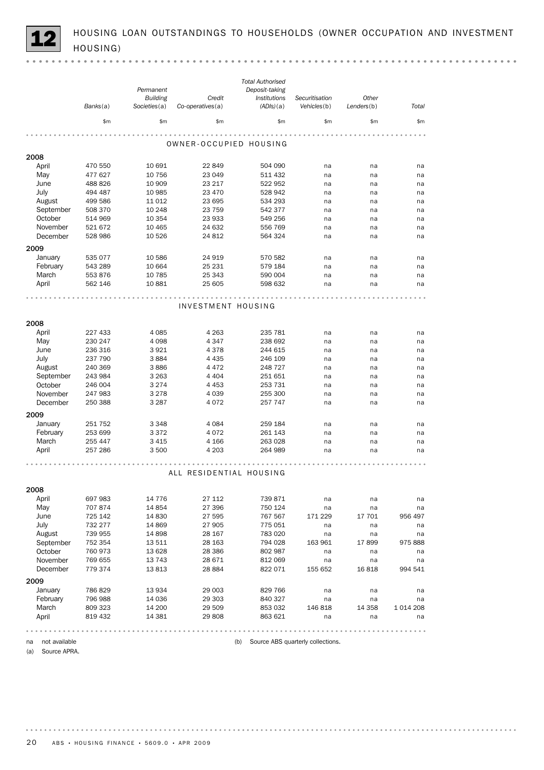HOUSING LOAN OUTSTANDINGS TO HOUSEHOLDS (OWNER OCCUPATION AND INVESTMENT HOUSING)

|                  |          |                 |                         | <b>Total Authorised</b>               |                |            |           |
|------------------|----------|-----------------|-------------------------|---------------------------------------|----------------|------------|-----------|
|                  |          | Permanent       |                         | Deposit-taking                        |                |            |           |
|                  |          | <b>Building</b> | Credit                  | Institutions                          | Securitisation | Other      |           |
|                  | Banks(a) | Societies(a)    | Co-operatives(a)        | (ADIs)(a)                             | Vehicles(b)    | Lenders(b) | Total     |
|                  | \$m      | \$m             | \$m                     | \$m                                   | \$m            | \$m\$      | \$m\$     |
|                  |          |                 |                         |                                       |                |            |           |
|                  |          |                 | OWNER-OCCUPIED HOUSING  |                                       |                |            |           |
| 2008             |          |                 |                         |                                       |                |            |           |
| April            | 470 550  | 10 691          | 22 849                  | 504 090                               | na             | na         | na        |
| May              | 477 627  | 10 756          | 23 049                  | 511 432                               | na             | na         | na        |
| June             | 488 826  | 10 909          | 23 217                  | 522 952                               | na             | na         | na        |
| July             | 494 487  | 10 985          | 23 470                  | 528 942                               | na             | na         | na        |
| August           | 499 586  | 11 0 12         | 23 695                  | 534 293                               | na             | na         | na        |
| September        | 508 370  | 10 248          | 23 759                  | 542 377                               | na             | na         | na        |
| October          | 514 969  | 10 354          | 23 933                  | 549 256                               | na             | na         | na        |
| November         | 521 672  | 10 4 65         | 24 632                  | 556 769                               | na             | na         | na        |
| December         | 528 986  | 10 5 26         | 24 812                  | 564 324                               |                |            |           |
|                  |          |                 |                         |                                       | na             | na         | na        |
| 2009             |          |                 |                         |                                       |                |            |           |
| January          | 535 077  | 10 586          | 24 919                  | 570 582                               | na             | na         | na        |
| February         | 543 289  | 10 664          | 25 231                  | 579 184                               | na             | na         | na        |
| March            | 553 876  | 10 785          | 25 343                  | 590 004                               | na             | na         | na        |
| April            | 562 146  | 10 881          | 25 605                  | 598 632                               | na             | na         | na        |
|                  |          |                 |                         |                                       |                |            |           |
|                  |          |                 | INVESTMENT HOUSING      |                                       |                |            |           |
|                  |          |                 |                         |                                       |                |            |           |
| 2008             |          |                 |                         |                                       |                |            |           |
| April            | 227 433  | 4 0 8 5         | 4 2 6 3                 | 235 781                               | na             | na         | na        |
| May              | 230 247  | 4 0 9 8         | 4347                    | 238 692                               | na             | na         | na        |
| June             | 236 316  | 3921            | 4378                    | 244 615                               | na             | na         | na        |
| July             | 237 790  | 3884            | 4 4 3 5                 | 246 109                               | na             | na         | na        |
| August           | 240 369  | 3886            | 4 4 7 2                 | 248 727                               | na             | na         | na        |
| September        | 243 984  | 3 2 6 3         | 4 4 0 4                 | 251 651                               | na             | na         | na        |
| October          | 246 004  | 3 2 7 4         | 4 4 5 3                 | 253 731                               | na             | na         | na        |
| November         | 247 983  | 3 2 7 8         | 4 0 3 9                 | 255 300                               | na             | na         | na        |
| December         | 250 388  | 3 2 8 7         | 4072                    | 257 747                               | na             | na         | na        |
| 2009             |          |                 |                         |                                       |                |            |           |
| January          | 251 752  | 3 3 4 8         | 4 0 8 4                 | 259 184                               | na             | na         | na        |
| February         | 253 699  | 3372            | 4072                    | 261 143                               | na             | na         | na        |
| March            | 255 447  | 3 4 1 5         | 4 1 6 6                 | 263 028                               | na             | na         | na        |
| April            | 257 286  | 3 500           | 4 203                   | 264 989                               | na             | na         | na        |
|                  |          |                 |                         |                                       |                |            |           |
|                  |          |                 | ALL RESIDENTIAL HOUSING |                                       |                |            |           |
|                  |          |                 |                         |                                       |                |            |           |
| 2008             |          |                 |                         |                                       |                |            |           |
| April            | 697 983  | 14 7 7 6        | 27 112                  | 739 871                               | na             | na         | na        |
| May              | 707 874  | 14 8 54         | 27 396                  | 750 124                               | na             | na         | na        |
| June             | 725 142  | 14 8 30         | 27 595                  | 767 567                               | 171 229        | 17 701     | 956 497   |
| July             | 732 277  | 14 8 69         | 27 905                  | 775 051                               | na             | na         | na        |
| August           | 739 955  | 14 8 98         | 28 167                  | 783 020                               | na             | na         | na        |
| September        | 752 354  | 13 511          | 28 163                  | 794 028                               | 163 961        | 17899      | 975 888   |
| October          | 760 973  | 13 6 28         | 28 3 86                 | 802 987                               | na             | na         | na        |
| November         | 769 655  | 13 7 43         | 28 671                  | 812 069                               | na             | na         | na        |
| December         | 779 374  | 13813           | 28 8 84                 | 822 071                               | 155 652        | 16818      | 994 541   |
| 2009             |          |                 |                         |                                       |                |            |           |
| January          | 786 829  | 13 934          | 29 003                  | 829 766                               | na             | na         | na        |
| February         | 796 988  | 14 0 36         | 29 303                  | 840 327                               | na             | na         | na        |
| March            | 809 323  | 14 200          | 29 509                  | 853 032                               | 146 818        | 14 358     | 1 014 208 |
| April            | 819 432  | 14 3 8 1        | 29 808                  | 863 621                               | na             | na         | na        |
|                  |          |                 |                         |                                       |                |            |           |
| na not available |          |                 |                         | (b) Source ABS quarterly collections. |                |            |           |
|                  |          |                 |                         |                                       |                |            |           |

(a) Source APRA.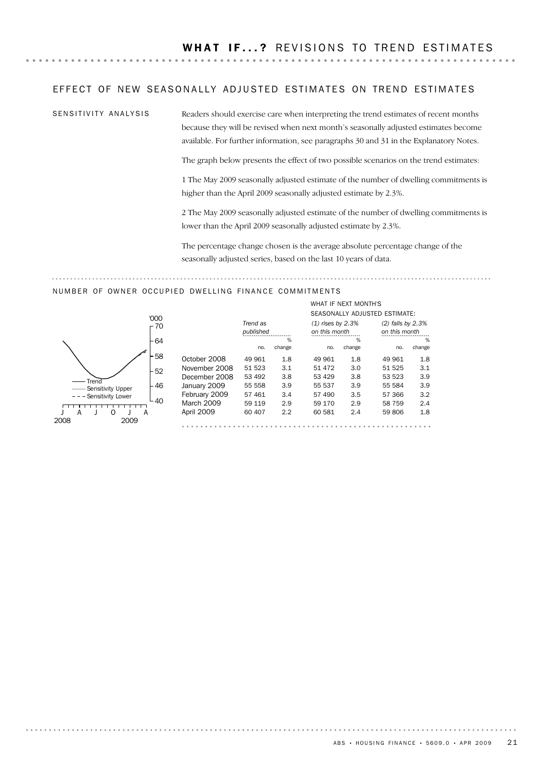#### EFFECT OF NEW SEASONALLY ADJUSTED ESTIMATES ON TREND ESTIMATES

..................................

SENSITIVITY ANALYSIS

Readers should exercise care when interpreting the trend estimates of recent months because they will be revised when next month's seasonally adjusted estimates become available. For further information, see paragraphs 30 and 31 in the Explanatory Notes.

The graph below presents the effect of two possible scenarios on the trend estimates:

1 The May 2009 seasonally adjusted estimate of the number of dwelling commitments is higher than the April 2009 seasonally adjusted estimate by 2.3%.

2 The May 2009 seasonally adjusted estimate of the number of dwelling commitments is lower than the April 2009 seasonally adjusted estimate by 2.3%.

The percentage change chosen is the average absolute percentage change of the seasonally adjusted series, based on the last 10 years of data.

### NUMBER OF OWNER OCCUPIED DWELLING FINANCE COMMITMENTS



|               |           |        |                     | WHAT IF NEXT MONTH'S |                               |        |
|---------------|-----------|--------|---------------------|----------------------|-------------------------------|--------|
|               |           |        |                     |                      | SEASONALLY ADJUSTED ESTIMATE: |        |
|               | Trend as  |        | $(1)$ rises by 2.3% |                      | (2) falls by 2.3%             |        |
|               | published |        | on this month       |                      | on this month                 |        |
|               |           | %      |                     | ℅                    |                               | %      |
|               | no.       | change | no.                 | change               | no.                           | change |
| October 2008  | 49 961    | 1.8    | 49 961              | 1.8                  | 49 961                        | 1.8    |
| November 2008 | 51 523    | 3.1    | 51 472              | 3.0                  | 51 525                        | 3.1    |
| December 2008 | 53 492    | 3.8    | 53 429              | 3.8                  | 53 523                        | 3.9    |
| January 2009  | 55 558    | 3.9    | 55 537              | 3.9                  | 55 584                        | 3.9    |
| February 2009 | 57 461    | 3.4    | 57 490              | 3.5                  | 57 366                        | 3.2    |
| March 2009    | 59 119    | 2.9    | 59 170              | 2.9                  | 58 759                        | 2.4    |
| April 2009    | 60 407    | 2.2    | 60 581              | 2.4                  | 59 806                        | 1.8    |
|               |           |        |                     |                      |                               |        |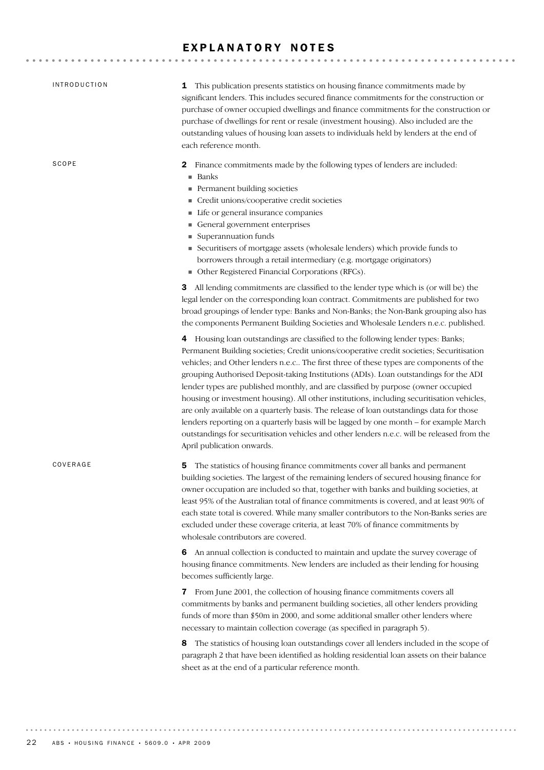# EXPLANATORY NOTES

| <b>INTRODUCTION</b> | 1 This publication presents statistics on housing finance commitments made by<br>significant lenders. This includes secured finance commitments for the construction or<br>purchase of owner occupied dwellings and finance commitments for the construction or<br>purchase of dwellings for rent or resale (investment housing). Also included are the<br>outstanding values of housing loan assets to individuals held by lenders at the end of<br>each reference month.                                                                                                                                                                                                                                                                                                                                                                                                                                                                                                                                                                                                                                                                                                                                                            |
|---------------------|---------------------------------------------------------------------------------------------------------------------------------------------------------------------------------------------------------------------------------------------------------------------------------------------------------------------------------------------------------------------------------------------------------------------------------------------------------------------------------------------------------------------------------------------------------------------------------------------------------------------------------------------------------------------------------------------------------------------------------------------------------------------------------------------------------------------------------------------------------------------------------------------------------------------------------------------------------------------------------------------------------------------------------------------------------------------------------------------------------------------------------------------------------------------------------------------------------------------------------------|
| SCOPE               | Finance commitments made by the following types of lenders are included:<br>2<br>■ Banks<br>Permanent building societies<br>Credit unions/cooperative credit societies<br>Life or general insurance companies<br>General government enterprises<br>Superannuation funds<br>Securitisers of mortgage assets (wholesale lenders) which provide funds to<br>borrowers through a retail intermediary (e.g. mortgage originators)<br>• Other Registered Financial Corporations (RFCs).                                                                                                                                                                                                                                                                                                                                                                                                                                                                                                                                                                                                                                                                                                                                                     |
|                     | All lending commitments are classified to the lender type which is (or will be) the<br>3<br>legal lender on the corresponding loan contract. Commitments are published for two<br>broad groupings of lender type: Banks and Non-Banks; the Non-Bank grouping also has<br>the components Permanent Building Societies and Wholesale Lenders n.e.c. published.<br>4 Housing loan outstandings are classified to the following lender types: Banks;<br>Permanent Building societies; Credit unions/cooperative credit societies; Securitisation<br>vehicles; and Other lenders n.e.c The first three of these types are components of the<br>grouping Authorised Deposit-taking Institutions (ADIs). Loan outstandings for the ADI<br>lender types are published monthly, and are classified by purpose (owner occupied<br>housing or investment housing). All other institutions, including securitisation vehicles,<br>are only available on a quarterly basis. The release of loan outstandings data for those<br>lenders reporting on a quarterly basis will be lagged by one month - for example March<br>outstandings for securitisation vehicles and other lenders n.e.c. will be released from the<br>April publication onwards. |
| COVERAGE            | The statistics of housing finance commitments cover all banks and permanent<br>5<br>building societies. The largest of the remaining lenders of secured housing finance for<br>owner occupation are included so that, together with banks and building societies, at<br>least 95% of the Australian total of finance commitments is covered, and at least 90% of<br>each state total is covered. While many smaller contributors to the Non-Banks series are<br>excluded under these coverage criteria, at least 70% of finance commitments by<br>wholesale contributors are covered.                                                                                                                                                                                                                                                                                                                                                                                                                                                                                                                                                                                                                                                 |
|                     | 6 An annual collection is conducted to maintain and update the survey coverage of<br>housing finance commitments. New lenders are included as their lending for housing<br>becomes sufficiently large.<br>7 From June 2001, the collection of housing finance commitments covers all<br>commitments by banks and permanent building societies, all other lenders providing<br>funds of more than \$50m in 2000, and some additional smaller other lenders where<br>necessary to maintain collection coverage (as specified in paragraph 5).<br>The statistics of housing loan outstandings cover all lenders included in the scope of<br>8<br>paragraph 2 that have been identified as holding residential loan assets on their balance<br>sheet as at the end of a particular reference month.                                                                                                                                                                                                                                                                                                                                                                                                                                       |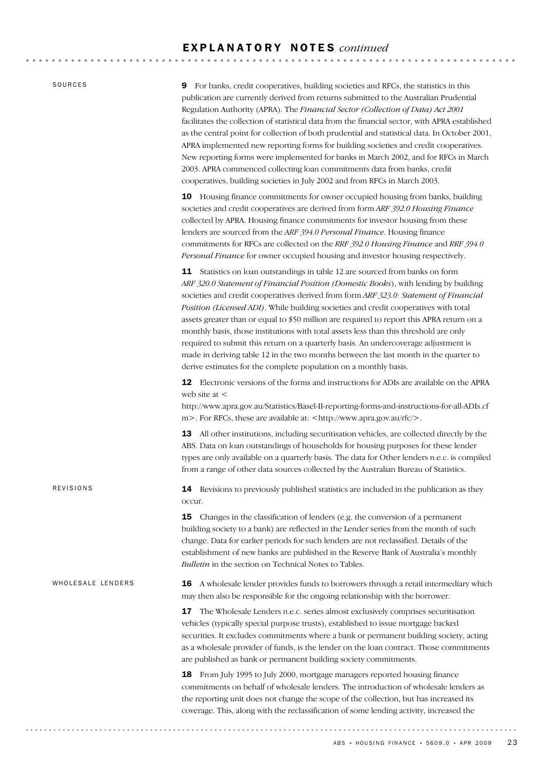#### E X P L A N A T O R Y N O T E S *continued*

SOURCES

9 For banks, credit cooperatives, building societies and RFCs, the statistics in this publication are currently derived from returns submitted to the Australian Prudential Regulation Authority (APRA). The *Financial Sector (Collection of Data) Act 2001* facilitates the collection of statistical data from the financial sector, with APRA established as the central point for collection of both prudential and statistical data. In October 2001, APRA implemented new reporting forms for building societies and credit cooperatives. New reporting forms were implemented for banks in March 2002, and for RFCs in March 2003. APRA commenced collecting loan commitments data from banks, credit cooperatives, building societies in July 2002 and from RFCs in March 2003.

10 Housing finance commitments for owner occupied housing from banks, building societies and credit cooperatives are derived from form *ARF 392.0 Housing Finance* collected by APRA. Housing finance commitments for investor housing from these lenders are sourced from the *ARF 394.0 Personal Finance*. Housing finance commitments for RFCs are collected on the *RRF 392.0 Housing Finance* and *RRF 394.0 Personal Finance* for owner occupied housing and investor housing respectively.

11 Statistics on loan outstandings in table 12 are sourced from banks on form *ARF 320.0 Statement of Financial Position (Domestic Books*), with lending by building societies and credit cooperatives derived from form *ARF 323.0: Statement of Financial Position (Licensed ADI)*. While building societies and credit cooperatives with total assets greater than or equal to \$50 million are required to report this APRA return on a monthly basis, those institutions with total assets less than this threshold are only required to submit this return on a quarterly basis. An undercoverage adjustment is made in deriving table 12 in the two months between the last month in the quarter to derive estimates for the complete population on a monthly basis.

12 Electronic versions of the forms and instructions for ADIs are available on the APRA web site at <

http://www.apra.gov.au/Statistics/Basel-II-reporting-forms-and-instructions-for-all-ADIs.cf m >. For RFCs, these are available at: <http://www.apra.gov.au/rfc/>.

13 All other institutions, including securitisation vehicles, are collected directly by the ABS. Data on loan outstandings of households for housing purposes for these lender types are only available on a quarterly basis. The data for Other lenders n.e.c. is compiled from a range of other data sources collected by the Australian Bureau of Statistics.

14 Revisions to previously published statistics are included in the publication as they occur.

**15** Changes in the classification of lenders (e.g. the conversion of a permanent building society to a bank) are reflected in the Lender series from the month of such change. Data for earlier periods for such lenders are not reclassified. Details of the establishment of new banks are published in the Reserve Bank of Australia's monthly *Bulletin* in the section on Technical Notes to Tables.

#### WHOLESALE LENDERS

REVISIONS

16 A wholesale lender provides funds to borrowers through a retail intermediary which may then also be responsible for the ongoing relationship with the borrower.

17 The Wholesale Lenders n.e.c. series almost exclusively comprises securitisation vehicles (typically special purpose trusts), established to issue mortgage backed securities. It excludes commitments where a bank or permanent building society, acting as a wholesale provider of funds, is the lender on the loan contract. Those commitments are published as bank or permanent building society commitments.

18 From July 1995 to July 2000, mortgage managers reported housing finance commitments on behalf of wholesale lenders. The introduction of wholesale lenders as the reporting unit does not change the scope of the collection, but has increased its coverage. This, along with the reclassification of some lending activity, increased the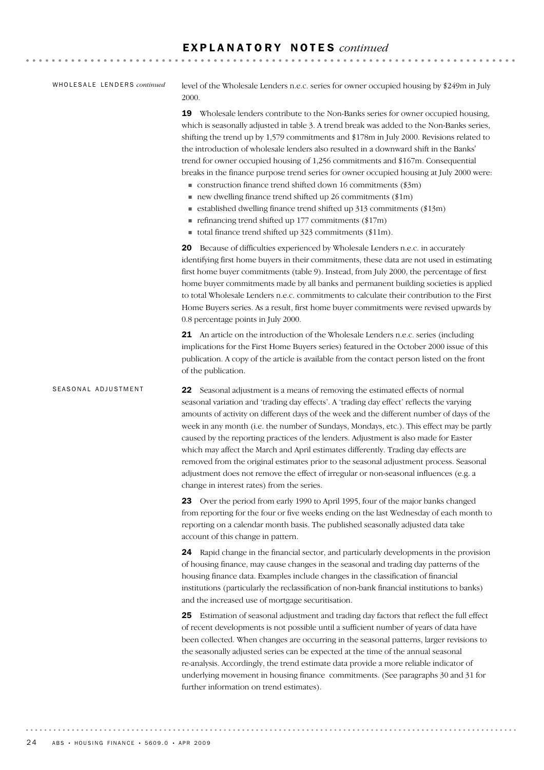#### E X P L A N A T O R Y N O T E S *continued*

#### WHOLESALE LENDERS *continued*

level of the Wholesale Lenders n.e.c. series for owner occupied housing by \$249m in July 2000.

19 Wholesale lenders contribute to the Non-Banks series for owner occupied housing, which is seasonally adjusted in table 3. A trend break was added to the Non-Banks series, shifting the trend up by 1,579 commitments and \$178m in July 2000. Revisions related to the introduction of wholesale lenders also resulted in a downward shift in the Banks' trend for owner occupied housing of 1,256 commitments and \$167m. Consequential breaks in the finance purpose trend series for owner occupied housing at July 2000 were:

- $\blacksquare$  construction finance trend shifted down 16 commitments (\$3m)
- $\blacksquare$  new dwelling finance trend shifted up 26 commitments (\$1m)
- $\blacksquare$  established dwelling finance trend shifted up 313 commitments (\$13m)
- $\blacksquare$  refinancing trend shifted up 177 commitments (\$17m)
- ! total finance trend shifted up 323 commitments (\$11m).

20 Because of difficulties experienced by Wholesale Lenders n.e.c. in accurately identifying first home buyers in their commitments, these data are not used in estimating first home buyer commitments (table 9). Instead, from July 2000, the percentage of first home buyer commitments made by all banks and permanent building societies is applied to total Wholesale Lenders n.e.c. commitments to calculate their contribution to the First Home Buyers series. As a result, first home buyer commitments were revised upwards by 0.8 percentage points in July 2000.

21 An article on the introduction of the Wholesale Lenders n.e.c. series (including implications for the First Home Buyers series) featured in the October 2000 issue of this publication. A copy of the article is available from the contact person listed on the front of the publication.

22 Seasonal adjustment is a means of removing the estimated effects of normal seasonal variation and 'trading day effects'. A 'trading day effect' reflects the varying amounts of activity on different days of the week and the different number of days of the week in any month (i.e. the number of Sundays, Mondays, etc.). This effect may be partly caused by the reporting practices of the lenders. Adjustment is also made for Easter which may affect the March and April estimates differently. Trading day effects are removed from the original estimates prior to the seasonal adjustment process. Seasonal adjustment does not remove the effect of irregular or non-seasonal influences (e.g. a change in interest rates) from the series. SEASONAL ADJUSTMENT

> 23 Over the period from early 1990 to April 1995, four of the major banks changed from reporting for the four or five weeks ending on the last Wednesday of each month to reporting on a calendar month basis. The published seasonally adjusted data take account of this change in pattern.

> 24 Rapid change in the financial sector, and particularly developments in the provision of housing finance, may cause changes in the seasonal and trading day patterns of the housing finance data. Examples include changes in the classification of financial institutions (particularly the reclassification of non-bank financial institutions to banks) and the increased use of mortgage securitisation.

> 25 Estimation of seasonal adjustment and trading day factors that reflect the full effect of recent developments is not possible until a sufficient number of years of data have been collected. When changes are occurring in the seasonal patterns, larger revisions to the seasonally adjusted series can be expected at the time of the annual seasonal re-analysis. Accordingly, the trend estimate data provide a more reliable indicator of underlying movement in housing finance commitments. (See paragraphs 30 and 31 for further information on trend estimates).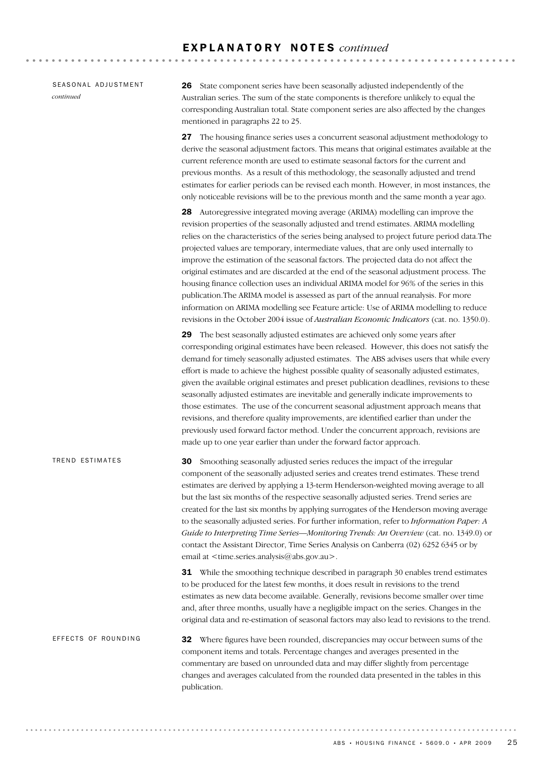|           | SEASONAL ADJUSTMENT |
|-----------|---------------------|
| continued |                     |

26 State component series have been seasonally adjusted independently of the Australian series. The sum of the state components is therefore unlikely to equal the corresponding Australian total. State component series are also affected by the changes mentioned in paragraphs 22 to 25.

27 The housing finance series uses a concurrent seasonal adjustment methodology to derive the seasonal adjustment factors. This means that original estimates available at the current reference month are used to estimate seasonal factors for the current and previous months. As a result of this methodology, the seasonally adjusted and trend estimates for earlier periods can be revised each month. However, in most instances, the only noticeable revisions will be to the previous month and the same month a year ago.

28 Autoregressive integrated moving average (ARIMA) modelling can improve the revision properties of the seasonally adjusted and trend estimates. ARIMA modelling relies on the characteristics of the series being analysed to project future period data.The projected values are temporary, intermediate values, that are only used internally to improve the estimation of the seasonal factors. The projected data do not affect the original estimates and are discarded at the end of the seasonal adjustment process. The housing finance collection uses an individual ARIMA model for 96% of the series in this publication.The ARIMA model is assessed as part of the annual reanalysis. For more information on ARIMA modelling see Feature article: Use of ARIMA modelling to reduce revisions in the October 2004 issue of *Australian Economic Indicators* (cat. no. 1350.0).

29 The best seasonally adjusted estimates are achieved only some years after corresponding original estimates have been released. However, this does not satisfy the demand for timely seasonally adjusted estimates. The ABS advises users that while every effort is made to achieve the highest possible quality of seasonally adjusted estimates, given the available original estimates and preset publication deadlines, revisions to these seasonally adjusted estimates are inevitable and generally indicate improvements to those estimates. The use of the concurrent seasonal adjustment approach means that revisions, and therefore quality improvements, are identified earlier than under the previously used forward factor method. Under the concurrent approach, revisions are made up to one year earlier than under the forward factor approach.

30 Smoothing seasonally adjusted series reduces the impact of the irregular component of the seasonally adjusted series and creates trend estimates. These trend estimates are derived by applying a 13-term Henderson-weighted moving average to all but the last six months of the respective seasonally adjusted series. Trend series are created for the last six months by applying surrogates of the Henderson moving average to the seasonally adjusted series. For further information, refer to *Information Paper: A Guide to Interpreting Time Series—Monitoring Trends: An Overview* (cat. no. 1349.0) or contact the Assistant Director, Time Series Analysis on Canberra (02) 6252 6345 or by email at <time.series.analysis@abs.gov.au>. TREND ESTIMATES

> **31** While the smoothing technique described in paragraph 30 enables trend estimates to be produced for the latest few months, it does result in revisions to the trend estimates as new data become available. Generally, revisions become smaller over time and, after three months, usually have a negligible impact on the series. Changes in the original data and re-estimation of seasonal factors may also lead to revisions to the trend.

32 Where figures have been rounded, discrepancies may occur between sums of the component items and totals. Percentage changes and averages presented in the commentary are based on unrounded data and may differ slightly from percentage changes and averages calculated from the rounded data presented in the tables in this publication. EFFECTS OF ROUNDING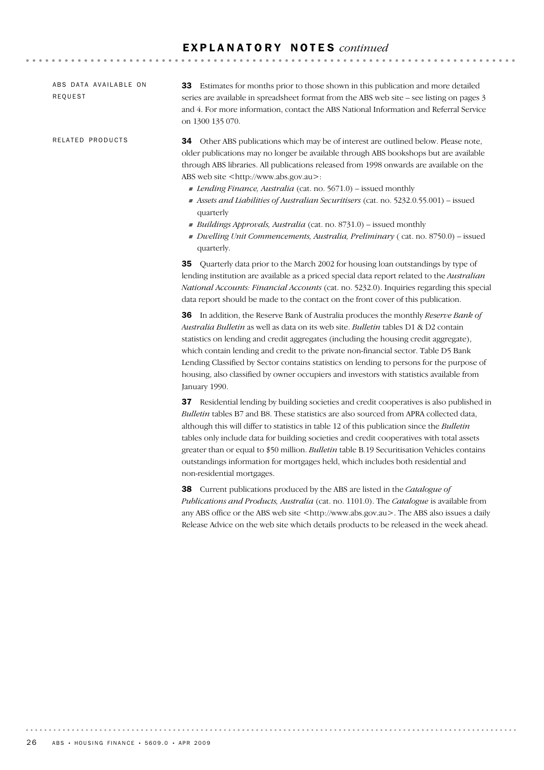#### E X P L A N A T O R Y N O T E S *continued*

ABS DATA AVAILABLE ON REQUEST

RELATED PRODUCTS

33 Estimates for months prior to those shown in this publication and more detailed series are available in spreadsheet format from the ABS web site – see listing on pages 3 and 4. For more information, contact the ABS National Information and Referral Service on 1300 135 070.

**AAAAAAAAAA** 

34 Other ABS publications which may be of interest are outlined below. Please note, older publications may no longer be available through ABS bookshops but are available through ABS libraries. All publications released from 1998 onwards are available on the ABS web site <http://www.abs.gov.au>:

- ! *Lending Finance, Australia* (cat. no. 5671.0) issued monthly
- ! *Assets and Liabilities of Australian Securitisers* (cat. no. 5232.0.55.001) issued quarterly
- ! *Buildings Approvals, Australia* (cat. no. 8731.0) issued monthly
- ! *Dwelling Unit Commencements, Australia, Preliminary* ( cat. no. 8750.0) issued quarterly.

35 Quarterly data prior to the March 2002 for housing loan outstandings by type of lending institution are available as a priced special data report related to the *Australian National Accounts: Financial Accounts* (cat. no. 5232.0). Inquiries regarding this special data report should be made to the contact on the front cover of this publication.

36 In addition, the Reserve Bank of Australia produces the monthly *Reserve Bank of Australia Bulletin* as well as data on its web site. *Bulletin* tables D1 & D2 contain statistics on lending and credit aggregates (including the housing credit aggregate), which contain lending and credit to the private non-financial sector. Table D5 Bank Lending Classified by Sector contains statistics on lending to persons for the purpose of housing, also classified by owner occupiers and investors with statistics available from January 1990.

37 Residential lending by building societies and credit cooperatives is also published in *Bulletin* tables B7 and B8. These statistics are also sourced from APRA collected data, although this will differ to statistics in table 12 of this publication since the *Bulletin* tables only include data for building societies and credit cooperatives with total assets greater than or equal to \$50 million. *Bulletin* table B.19 Securitisation Vehicles contains outstandings information for mortgages held, which includes both residential and non-residential mortgages.

38 Current publications produced by the ABS are listed in the *Catalogue of Publications and Products, Australia* (cat. no. 1101.0). The *Catalogue* is available from any ABS office or the ABS web site <http://www.abs.gov.au>. The ABS also issues a daily Release Advice on the web site which details products to be released in the week ahead.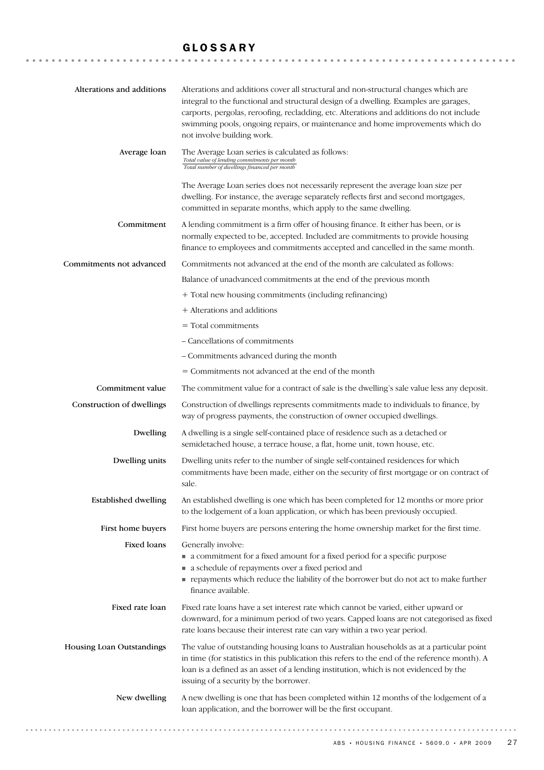# GLOSSARY

| Alterations and additions   | Alterations and additions cover all structural and non-structural changes which are<br>integral to the functional and structural design of a dwelling. Examples are garages,<br>carports, pergolas, reroofing, recladding, etc. Alterations and additions do not include<br>swimming pools, ongoing repairs, or maintenance and home improvements which do<br>not involve building work. |
|-----------------------------|------------------------------------------------------------------------------------------------------------------------------------------------------------------------------------------------------------------------------------------------------------------------------------------------------------------------------------------------------------------------------------------|
| Average loan                | The Average Loan series is calculated as follows:<br>Total value of lending commitments per month<br>Total number of dwellings financed per month                                                                                                                                                                                                                                        |
|                             | The Average Loan series does not necessarily represent the average loan size per<br>dwelling. For instance, the average separately reflects first and second mortgages,<br>committed in separate months, which apply to the same dwelling.                                                                                                                                               |
| Commitment                  | A lending commitment is a firm offer of housing finance. It either has been, or is<br>normally expected to be, accepted. Included are commitments to provide housing<br>finance to employees and commitments accepted and cancelled in the same month.                                                                                                                                   |
| Commitments not advanced    | Commitments not advanced at the end of the month are calculated as follows:                                                                                                                                                                                                                                                                                                              |
|                             | Balance of unadvanced commitments at the end of the previous month                                                                                                                                                                                                                                                                                                                       |
|                             | + Total new housing commitments (including refinancing)                                                                                                                                                                                                                                                                                                                                  |
|                             | + Alterations and additions                                                                                                                                                                                                                                                                                                                                                              |
|                             | $=$ Total commitments                                                                                                                                                                                                                                                                                                                                                                    |
|                             | - Cancellations of commitments                                                                                                                                                                                                                                                                                                                                                           |
|                             | - Commitments advanced during the month                                                                                                                                                                                                                                                                                                                                                  |
|                             | = Commitments not advanced at the end of the month                                                                                                                                                                                                                                                                                                                                       |
| Commitment value            | The commitment value for a contract of sale is the dwelling's sale value less any deposit.                                                                                                                                                                                                                                                                                               |
| Construction of dwellings   | Construction of dwellings represents commitments made to individuals to finance, by<br>way of progress payments, the construction of owner occupied dwellings.                                                                                                                                                                                                                           |
| Dwelling                    | A dwelling is a single self-contained place of residence such as a detached or<br>semidetached house, a terrace house, a flat, home unit, town house, etc.                                                                                                                                                                                                                               |
| Dwelling units              | Dwelling units refer to the number of single self-contained residences for which<br>commitments have been made, either on the security of first mortgage or on contract of<br>sale.                                                                                                                                                                                                      |
| <b>Established dwelling</b> | An established dwelling is one which has been completed for 12 months or more prior<br>to the lodgement of a loan application, or which has been previously occupied.                                                                                                                                                                                                                    |
| First home buyers           | First home buyers are persons entering the home ownership market for the first time.                                                                                                                                                                                                                                                                                                     |
| Fixed loans                 | Generally involve:<br>• a commitment for a fixed amount for a fixed period for a specific purpose<br>a schedule of repayments over a fixed period and<br>repayments which reduce the liability of the borrower but do not act to make further<br>finance available.                                                                                                                      |
| Fixed rate loan             | Fixed rate loans have a set interest rate which cannot be varied, either upward or<br>downward, for a minimum period of two years. Capped loans are not categorised as fixed<br>rate loans because their interest rate can vary within a two year period.                                                                                                                                |
| Housing Loan Outstandings   | The value of outstanding housing loans to Australian households as at a particular point<br>in time (for statistics in this publication this refers to the end of the reference month). A<br>loan is a defined as an asset of a lending institution, which is not evidenced by the<br>issuing of a security by the borrower.                                                             |
| New dwelling                | A new dwelling is one that has been completed within 12 months of the lodgement of a<br>loan application, and the borrower will be the first occupant.                                                                                                                                                                                                                                   |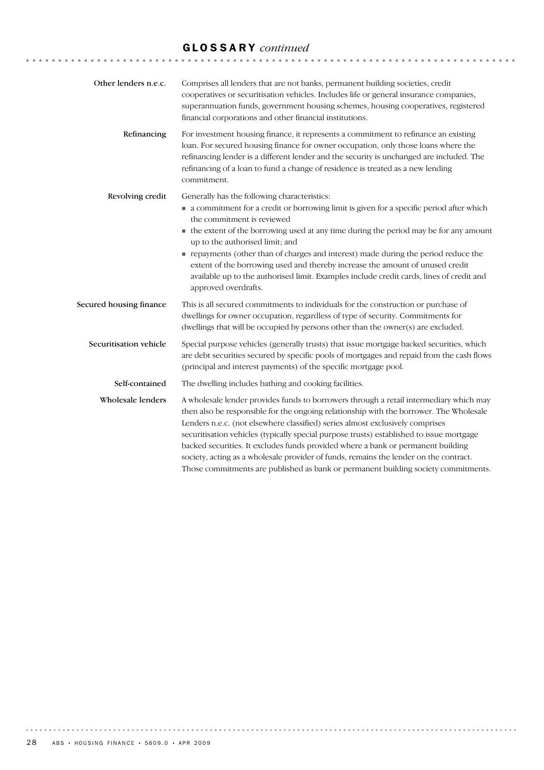# GLOSSARY *continued*

| Other lenders n.e.c.    | Comprises all lenders that are not banks, permanent building societies, credit<br>cooperatives or securitisation vehicles. Includes life or general insurance companies,<br>superannuation funds, government housing schemes, housing cooperatives, registered<br>financial corporations and other financial institutions.                                                                                                                                                                                                                                                                                                       |
|-------------------------|----------------------------------------------------------------------------------------------------------------------------------------------------------------------------------------------------------------------------------------------------------------------------------------------------------------------------------------------------------------------------------------------------------------------------------------------------------------------------------------------------------------------------------------------------------------------------------------------------------------------------------|
| Refinancing             | For investment housing finance, it represents a commitment to refinance an existing<br>loan. For secured housing finance for owner occupation, only those loans where the<br>refinancing lender is a different lender and the security is unchanged are included. The<br>refinancing of a loan to fund a change of residence is treated as a new lending<br>commitment.                                                                                                                                                                                                                                                          |
| Revolving credit        | Generally has the following characteristics:<br>• a commitment for a credit or borrowing limit is given for a specific period after which<br>the commitment is reviewed<br>• the extent of the borrowing used at any time during the period may be for any amount<br>up to the authorised limit; and<br>repayments (other than of charges and interest) made during the period reduce the<br>extent of the borrowing used and thereby increase the amount of unused credit<br>available up to the authorised limit. Examples include credit cards, lines of credit and<br>approved overdrafts.                                   |
| Secured housing finance | This is all secured commitments to individuals for the construction or purchase of<br>dwellings for owner occupation, regardless of type of security. Commitments for<br>dwellings that will be occupied by persons other than the owner(s) are excluded.                                                                                                                                                                                                                                                                                                                                                                        |
| Securitisation vehicle  | Special purpose vehicles (generally trusts) that issue mortgage backed securities, which<br>are debt securities secured by specific pools of mortgages and repaid from the cash flows<br>(principal and interest payments) of the specific mortgage pool.                                                                                                                                                                                                                                                                                                                                                                        |
| Self-contained          | The dwelling includes bathing and cooking facilities.                                                                                                                                                                                                                                                                                                                                                                                                                                                                                                                                                                            |
| Wholesale lenders       | A wholesale lender provides funds to borrowers through a retail intermediary which may<br>then also be responsible for the ongoing relationship with the borrower. The Wholesale<br>Lenders n.e.c. (not elsewhere classified) series almost exclusively comprises<br>securitisation vehicles (typically special purpose trusts) established to issue mortgage<br>backed securities. It excludes funds provided where a bank or permanent building<br>society, acting as a wholesale provider of funds, remains the lender on the contract.<br>Those commitments are published as bank or permanent building society commitments. |